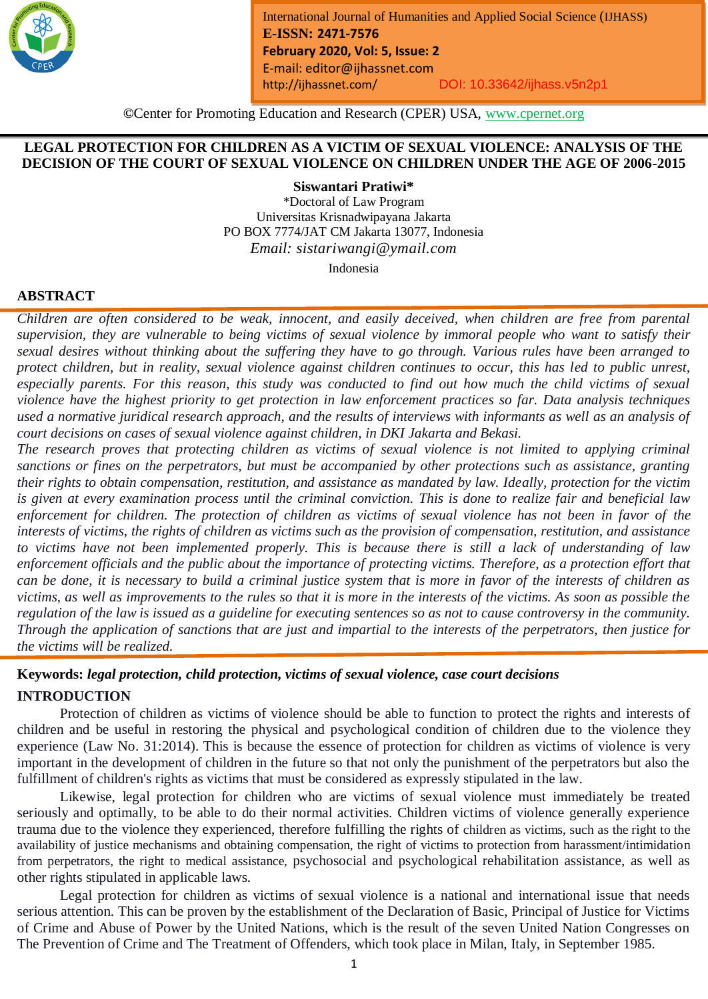

*Month Year: January2019*

# **LEGAL PROTECTION FOR CHILDREN AS A VICTIM OF SEXUAL VIOLENCE: ANALYSIS OF THE DECISION OF THE COURT OF SEXUAL VIOLENCE ON CHILDREN UNDER THE AGE OF 2006-2015**

**Siswantari Pratiwi\***

\*Doctoral of Law Program Universitas Krisnadwipayana Jakarta PO BOX 7774/JAT CM Jakarta 13077, Indonesia *Email: sistariwangi@ymail.com*

Indonesia

# **ABSTRACT**

*Children are often considered to be weak, innocent, and easily deceived, when children are free from parental supervision, they are vulnerable to being victims of sexual violence by immoral people who want to satisfy their sexual desires without thinking about the suffering they have to go through. Various rules have been arranged to protect children, but in reality, sexual violence against children continues to occur, this has led to public unrest, especially parents. For this reason, this study was conducted to find out how much the child victims of sexual violence have the highest priority to get protection in law enforcement practices so far. Data analysis techniques used a normative juridical research approach, and the results of interviews with informants as well as an analysis of court decisions on cases of sexual violence against children, in DKI Jakarta and Bekasi.*

*The research proves that protecting children as victims of sexual violence is not limited to applying criminal sanctions or fines on the perpetrators, but must be accompanied by other protections such as assistance, granting their rights to obtain compensation, restitution, and assistance as mandated by law. Ideally, protection for the victim is given at every examination process until the criminal conviction. This is done to realize fair and beneficial law enforcement for children. The protection of children as victims of sexual violence has not been in favor of the interests of victims, the rights of children as victims such as the provision of compensation, restitution, and assistance to victims have not been implemented properly. This is because there is still a lack of understanding of law enforcement officials and the public about the importance of protecting victims. Therefore, as a protection effort that can be done, it is necessary to build a criminal justice system that is more in favor of the interests of children as victims, as well as improvements to the rules so that it is more in the interests of the victims. As soon as possible the regulation of the law is issued as a guideline for executing sentences so as not to cause controversy in the community. Through the application of sanctions that are just and impartial to the interests of the perpetrators, then justice for the victims will be realized.*

# **Keywords:** *legal protection, child protection, victims of sexual violence, case court decisions* **INTRODUCTION**

Protection of children as victims of violence should be able to function to protect the rights and interests of children and be useful in restoring the physical and psychological condition of children due to the violence they experience (Law No. 31:2014). This is because the essence of protection for children as victims of violence is very important in the development of children in the future so that not only the punishment of the perpetrators but also the fulfillment of children's rights as victims that must be considered as expressly stipulated in the law.

Likewise, legal protection for children who are victims of sexual violence must immediately be treated seriously and optimally, to be able to do their normal activities. Children victims of violence generally experience trauma due to the violence they experienced, therefore fulfilling the rights of children as victims, such as the right to the availability of justice mechanisms and obtaining compensation, the right of victims to protection from harassment/intimidation from perpetrators, the right to medical assistance, psychosocial and psychological rehabilitation assistance, as well as other rights stipulated in applicable laws.

Legal protection for children as victims of sexual violence is a national and international issue that needs serious attention. This can be proven by the establishment of the Declaration of Basic, Principal of Justice for Victims of Crime and Abuse of Power by the United Nations, which is the result of the seven United Nation Congresses on The Prevention of Crime and The Treatment of Offenders, which took place in Milan, Italy, in September 1985.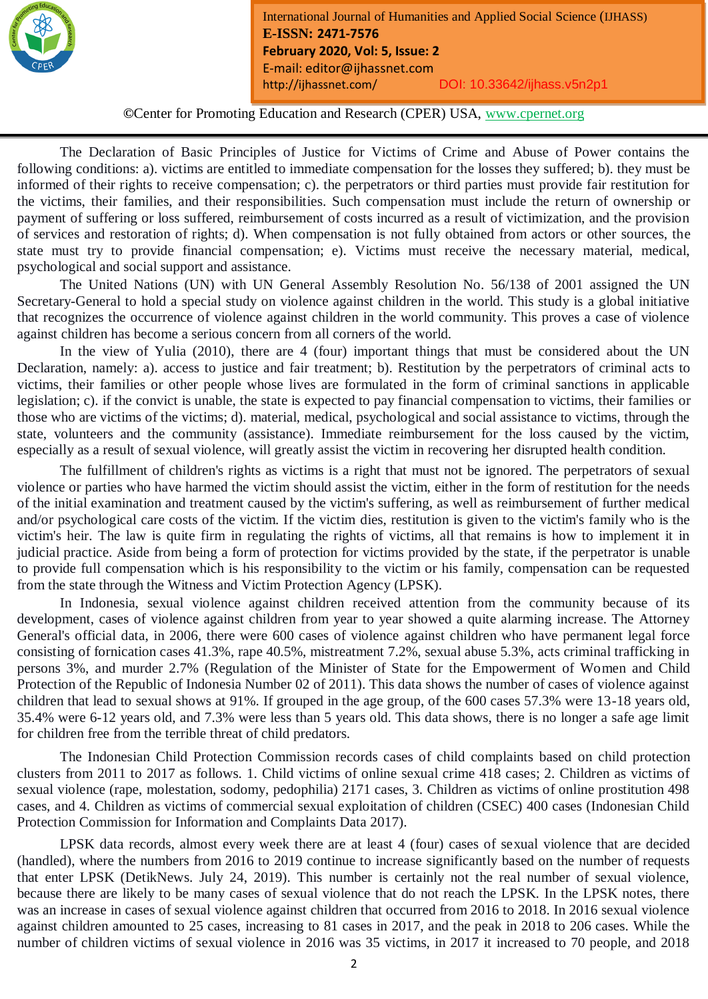

**©**Center for Promoting Education and Research (CPER) USA, www.cpernet.org

*Month Year: January2019*

The Declaration of Basic Principles of Justice for Victims of Crime and Abuse of Power contains the following conditions: a). victims are entitled to immediate compensation for the losses they suffered; b). they must be informed of their rights to receive compensation; c). the perpetrators or third parties must provide fair restitution for the victims, their families, and their responsibilities. Such compensation must include the return of ownership or payment of suffering or loss suffered, reimbursement of costs incurred as a result of victimization, and the provision of services and restoration of rights; d). When compensation is not fully obtained from actors or other sources, the state must try to provide financial compensation; e). Victims must receive the necessary material, medical, psychological and social support and assistance.

The United Nations (UN) with UN General Assembly Resolution No. 56/138 of 2001 assigned the UN Secretary-General to hold a special study on violence against children in the world. This study is a global initiative that recognizes the occurrence of violence against children in the world community. This proves a case of violence against children has become a serious concern from all corners of the world.

In the view of Yulia (2010), there are 4 (four) important things that must be considered about the UN Declaration, namely: a). access to justice and fair treatment; b). Restitution by the perpetrators of criminal acts to victims, their families or other people whose lives are formulated in the form of criminal sanctions in applicable legislation; c). if the convict is unable, the state is expected to pay financial compensation to victims, their families or those who are victims of the victims; d). material, medical, psychological and social assistance to victims, through the state, volunteers and the community (assistance). Immediate reimbursement for the loss caused by the victim, especially as a result of sexual violence, will greatly assist the victim in recovering her disrupted health condition.

The fulfillment of children's rights as victims is a right that must not be ignored. The perpetrators of sexual violence or parties who have harmed the victim should assist the victim, either in the form of restitution for the needs of the initial examination and treatment caused by the victim's suffering, as well as reimbursement of further medical and/or psychological care costs of the victim. If the victim dies, restitution is given to the victim's family who is the victim's heir. The law is quite firm in regulating the rights of victims, all that remains is how to implement it in judicial practice. Aside from being a form of protection for victims provided by the state, if the perpetrator is unable to provide full compensation which is his responsibility to the victim or his family, compensation can be requested from the state through the Witness and Victim Protection Agency (LPSK).

In Indonesia, sexual violence against children received attention from the community because of its development, cases of violence against children from year to year showed a quite alarming increase. The Attorney General's official data, in 2006, there were 600 cases of violence against children who have permanent legal force consisting of fornication cases 41.3%, rape 40.5%, mistreatment 7.2%, sexual abuse 5.3%, acts criminal trafficking in persons 3%, and murder 2.7% (Regulation of the Minister of State for the Empowerment of Women and Child Protection of the Republic of Indonesia Number 02 of 2011). This data shows the number of cases of violence against children that lead to sexual shows at 91%. If grouped in the age group, of the 600 cases 57.3% were 13-18 years old, 35.4% were 6-12 years old, and 7.3% were less than 5 years old. This data shows, there is no longer a safe age limit for children free from the terrible threat of child predators.

The Indonesian Child Protection Commission records cases of child complaints based on child protection clusters from 2011 to 2017 as follows. 1. Child victims of online sexual crime 418 cases; 2. Children as victims of sexual violence (rape, molestation, sodomy, pedophilia) 2171 cases, 3. Children as victims of online prostitution 498 cases, and 4. Children as victims of commercial sexual exploitation of children (CSEC) 400 cases (Indonesian Child Protection Commission for Information and Complaints Data 2017).

LPSK data records, almost every week there are at least 4 (four) cases of sexual violence that are decided (handled), where the numbers from 2016 to 2019 continue to increase significantly based on the number of requests that enter LPSK (DetikNews. July 24, 2019). This number is certainly not the real number of sexual violence, because there are likely to be many cases of sexual violence that do not reach the LPSK. In the LPSK notes, there was an increase in cases of sexual violence against children that occurred from 2016 to 2018. In 2016 sexual violence against children amounted to 25 cases, increasing to 81 cases in 2017, and the peak in 2018 to 206 cases. While the number of children victims of sexual violence in 2016 was 35 victims, in 2017 it increased to 70 people, and 2018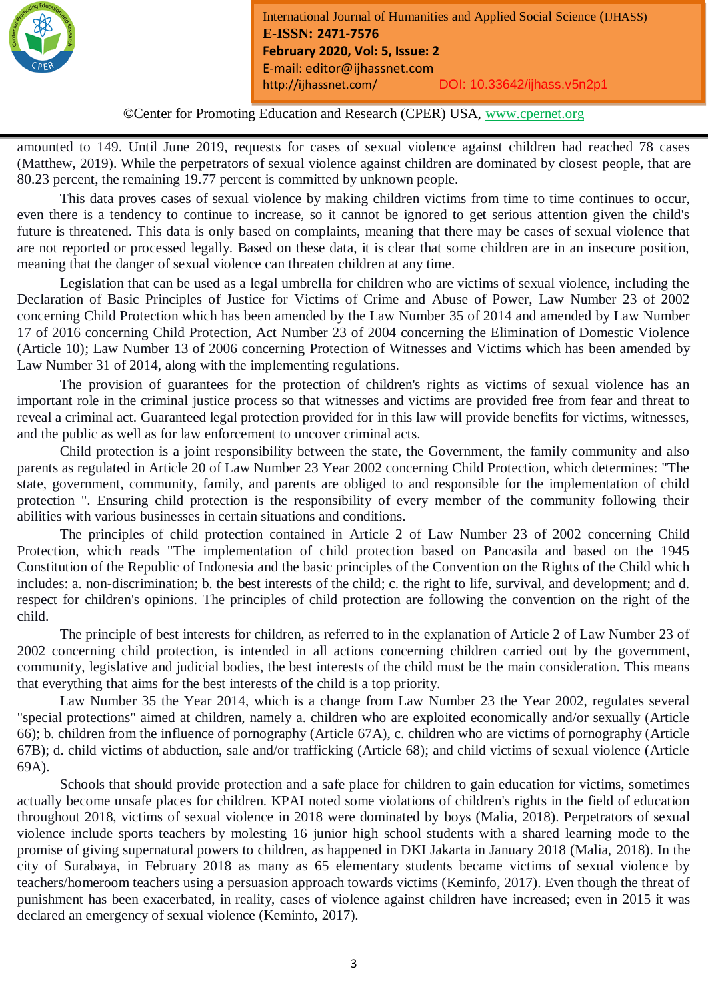

*Month Year: January2019*

amounted to 149. Until June 2019, requests for cases of sexual violence against children had reached 78 cases (Matthew, 2019). While the perpetrators of sexual violence against children are dominated by closest people, that are 80.23 percent, the remaining 19.77 percent is committed by unknown people.

This data proves cases of sexual violence by making children victims from time to time continues to occur, even there is a tendency to continue to increase, so it cannot be ignored to get serious attention given the child's future is threatened. This data is only based on complaints, meaning that there may be cases of sexual violence that are not reported or processed legally. Based on these data, it is clear that some children are in an insecure position, meaning that the danger of sexual violence can threaten children at any time.

Legislation that can be used as a legal umbrella for children who are victims of sexual violence, including the Declaration of Basic Principles of Justice for Victims of Crime and Abuse of Power, Law Number 23 of 2002 concerning Child Protection which has been amended by the Law Number 35 of 2014 and amended by Law Number 17 of 2016 concerning Child Protection, Act Number 23 of 2004 concerning the Elimination of Domestic Violence (Article 10); Law Number 13 of 2006 concerning Protection of Witnesses and Victims which has been amended by Law Number 31 of 2014, along with the implementing regulations.

The provision of guarantees for the protection of children's rights as victims of sexual violence has an important role in the criminal justice process so that witnesses and victims are provided free from fear and threat to reveal a criminal act. Guaranteed legal protection provided for in this law will provide benefits for victims, witnesses, and the public as well as for law enforcement to uncover criminal acts.

Child protection is a joint responsibility between the state, the Government, the family community and also parents as regulated in Article 20 of Law Number 23 Year 2002 concerning Child Protection, which determines: "The state, government, community, family, and parents are obliged to and responsible for the implementation of child protection ". Ensuring child protection is the responsibility of every member of the community following their abilities with various businesses in certain situations and conditions.

The principles of child protection contained in Article 2 of Law Number 23 of 2002 concerning Child Protection, which reads "The implementation of child protection based on Pancasila and based on the 1945 Constitution of the Republic of Indonesia and the basic principles of the Convention on the Rights of the Child which includes: a. non-discrimination; b. the best interests of the child; c. the right to life, survival, and development; and d. respect for children's opinions. The principles of child protection are following the convention on the right of the child.

The principle of best interests for children, as referred to in the explanation of Article 2 of Law Number 23 of 2002 concerning child protection, is intended in all actions concerning children carried out by the government, community, legislative and judicial bodies, the best interests of the child must be the main consideration. This means that everything that aims for the best interests of the child is a top priority.

Law Number 35 the Year 2014, which is a change from Law Number 23 the Year 2002, regulates several "special protections" aimed at children, namely a. children who are exploited economically and/or sexually (Article 66); b. children from the influence of pornography (Article 67A), c. children who are victims of pornography (Article 67B); d. child victims of abduction, sale and/or trafficking (Article 68); and child victims of sexual violence (Article 69A).

Schools that should provide protection and a safe place for children to gain education for victims, sometimes actually become unsafe places for children. KPAI noted some violations of children's rights in the field of education throughout 2018, victims of sexual violence in 2018 were dominated by boys (Malia, 2018). Perpetrators of sexual violence include sports teachers by molesting 16 junior high school students with a shared learning mode to the promise of giving supernatural powers to children, as happened in DKI Jakarta in January 2018 (Malia, 2018). In the city of Surabaya, in February 2018 as many as 65 elementary students became victims of sexual violence by teachers/homeroom teachers using a persuasion approach towards victims (Keminfo, 2017). Even though the threat of punishment has been exacerbated, in reality, cases of violence against children have increased; even in 2015 it was declared an emergency of sexual violence (Keminfo, 2017).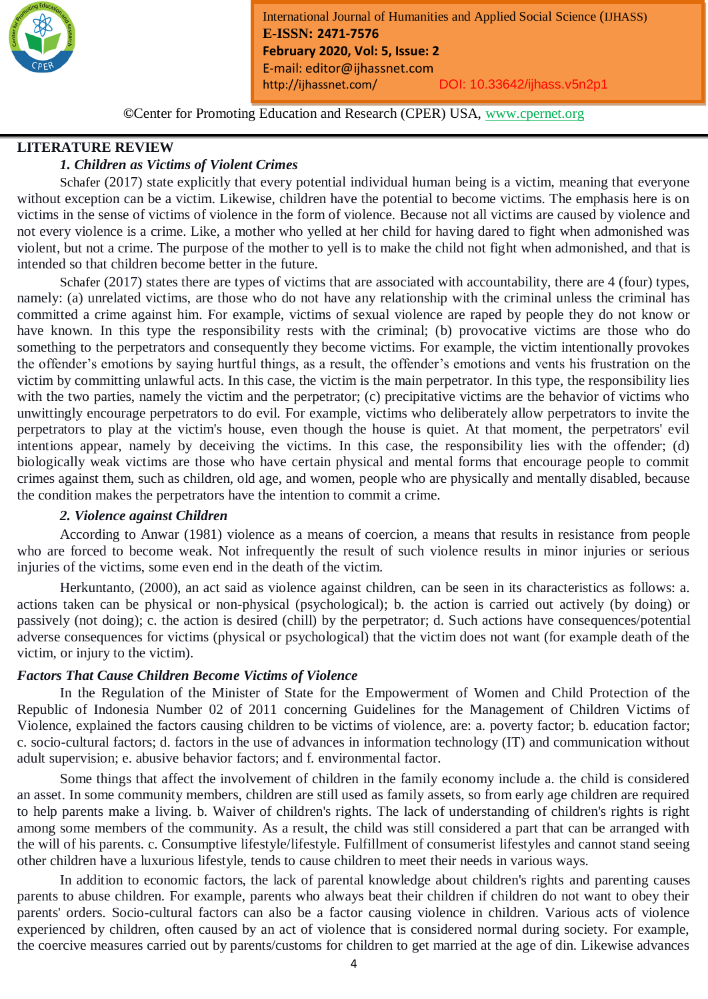

**©**Center for Promoting Education and Research (CPER) USA, www.cpernet.org

*Month Year: January2019*

### **LITERATURE REVIEW**

# *1. Children as Victims of Violent Crimes*

Schafer (2017) state explicitly that every potential individual human being is a victim, meaning that everyone without exception can be a victim. Likewise, children have the potential to become victims. The emphasis here is on victims in the sense of victims of violence in the form of violence. Because not all victims are caused by violence and not every violence is a crime. Like, a mother who yelled at her child for having dared to fight when admonished was violent, but not a crime. The purpose of the mother to yell is to make the child not fight when admonished, and that is intended so that children become better in the future.

Schafer (2017) states there are types of victims that are associated with accountability, there are 4 (four) types, namely: (a) unrelated victims, are those who do not have any relationship with the criminal unless the criminal has committed a crime against him. For example, victims of sexual violence are raped by people they do not know or have known. In this type the responsibility rests with the criminal; (b) provocative victims are those who do something to the perpetrators and consequently they become victims. For example, the victim intentionally provokes the offender's emotions by saying hurtful things, as a result, the offender's emotions and vents his frustration on the victim by committing unlawful acts. In this case, the victim is the main perpetrator. In this type, the responsibility lies with the two parties, namely the victim and the perpetrator; (c) precipitative victims are the behavior of victims who unwittingly encourage perpetrators to do evil. For example, victims who deliberately allow perpetrators to invite the perpetrators to play at the victim's house, even though the house is quiet. At that moment, the perpetrators' evil intentions appear, namely by deceiving the victims. In this case, the responsibility lies with the offender; (d) biologically weak victims are those who have certain physical and mental forms that encourage people to commit crimes against them, such as children, old age, and women, people who are physically and mentally disabled, because the condition makes the perpetrators have the intention to commit a crime.

#### *2. Violence against Children*

According to Anwar (1981) violence as a means of coercion, a means that results in resistance from people who are forced to become weak. Not infrequently the result of such violence results in minor injuries or serious injuries of the victims, some even end in the death of the victim.

Herkuntanto, (2000), an act said as violence against children, can be seen in its characteristics as follows: a. actions taken can be physical or non-physical (psychological); b. the action is carried out actively (by doing) or passively (not doing); c. the action is desired (chill) by the perpetrator; d. Such actions have consequences/potential adverse consequences for victims (physical or psychological) that the victim does not want (for example death of the victim, or injury to the victim).

#### *Factors That Cause Children Become Victims of Violence*

In the Regulation of the Minister of State for the Empowerment of Women and Child Protection of the Republic of Indonesia Number 02 of 2011 concerning Guidelines for the Management of Children Victims of Violence, explained the factors causing children to be victims of violence, are: a. poverty factor; b. education factor; c. socio-cultural factors; d. factors in the use of advances in information technology (IT) and communication without adult supervision; e. abusive behavior factors; and f. environmental factor.

Some things that affect the involvement of children in the family economy include a. the child is considered an asset. In some community members, children are still used as family assets, so from early age children are required to help parents make a living. b. Waiver of children's rights. The lack of understanding of children's rights is right among some members of the community. As a result, the child was still considered a part that can be arranged with the will of his parents. c. Consumptive lifestyle/lifestyle. Fulfillment of consumerist lifestyles and cannot stand seeing other children have a luxurious lifestyle, tends to cause children to meet their needs in various ways.

In addition to economic factors, the lack of parental knowledge about children's rights and parenting causes parents to abuse children. For example, parents who always beat their children if children do not want to obey their parents' orders. Socio-cultural factors can also be a factor causing violence in children. Various acts of violence experienced by children, often caused by an act of violence that is considered normal during society. For example, the coercive measures carried out by parents/customs for children to get married at the age of din. Likewise advances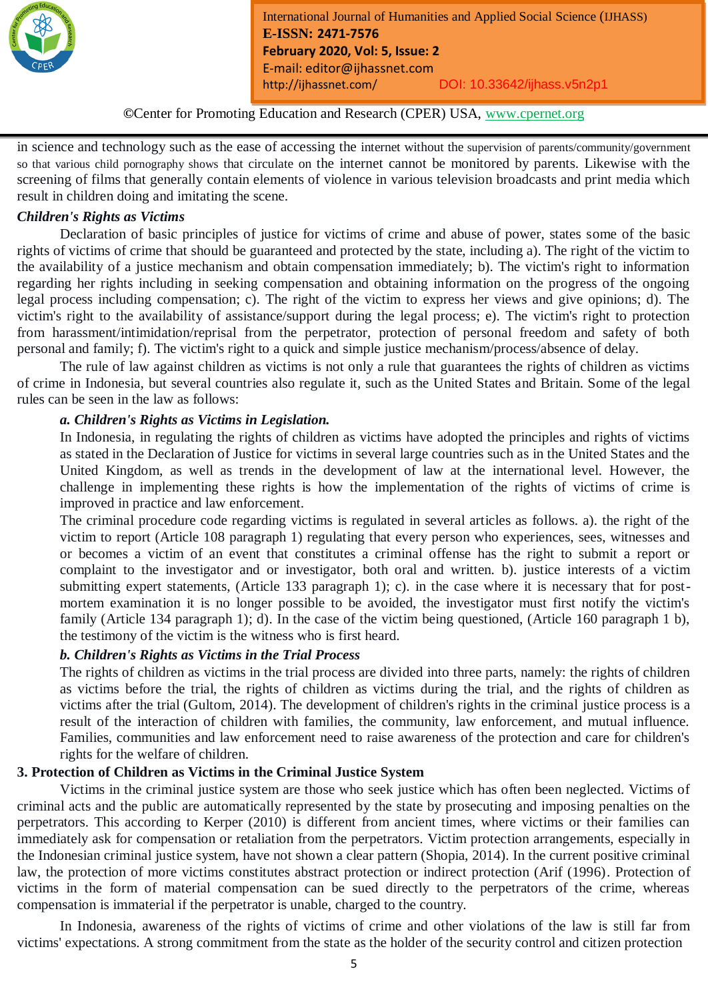

*Month Year: January2019*

in science and technology such as the ease of accessing the internet without the supervision of parents/community/government so that various child pornography shows that circulate on the internet cannot be monitored by parents. Likewise with the screening of films that generally contain elements of violence in various television broadcasts and print media which result in children doing and imitating the scene.

# *Children's Rights as Victims*

Declaration of basic principles of justice for victims of crime and abuse of power, states some of the basic rights of victims of crime that should be guaranteed and protected by the state, including a). The right of the victim to the availability of a justice mechanism and obtain compensation immediately; b). The victim's right to information regarding her rights including in seeking compensation and obtaining information on the progress of the ongoing legal process including compensation; c). The right of the victim to express her views and give opinions; d). The victim's right to the availability of assistance/support during the legal process; e). The victim's right to protection from harassment/intimidation/reprisal from the perpetrator, protection of personal freedom and safety of both personal and family; f). The victim's right to a quick and simple justice mechanism/process/absence of delay.

The rule of law against children as victims is not only a rule that guarantees the rights of children as victims of crime in Indonesia, but several countries also regulate it, such as the United States and Britain. Some of the legal rules can be seen in the law as follows:

# *a. Children's Rights as Victims in Legislation.*

In Indonesia, in regulating the rights of children as victims have adopted the principles and rights of victims as stated in the Declaration of Justice for victims in several large countries such as in the United States and the United Kingdom, as well as trends in the development of law at the international level. However, the challenge in implementing these rights is how the implementation of the rights of victims of crime is improved in practice and law enforcement.

The criminal procedure code regarding victims is regulated in several articles as follows. a). the right of the victim to report (Article 108 paragraph 1) regulating that every person who experiences, sees, witnesses and or becomes a victim of an event that constitutes a criminal offense has the right to submit a report or complaint to the investigator and or investigator, both oral and written. b). justice interests of a victim submitting expert statements, (Article 133 paragraph 1); c). in the case where it is necessary that for postmortem examination it is no longer possible to be avoided, the investigator must first notify the victim's family (Article 134 paragraph 1); d). In the case of the victim being questioned, (Article 160 paragraph 1 b), the testimony of the victim is the witness who is first heard.

# *b. Children's Rights as Victims in the Trial Process*

The rights of children as victims in the trial process are divided into three parts, namely: the rights of children as victims before the trial, the rights of children as victims during the trial, and the rights of children as victims after the trial (Gultom, 2014). The development of children's rights in the criminal justice process is a result of the interaction of children with families, the community, law enforcement, and mutual influence. Families, communities and law enforcement need to raise awareness of the protection and care for children's rights for the welfare of children.

# **3. Protection of Children as Victims in the Criminal Justice System**

Victims in the criminal justice system are those who seek justice which has often been neglected. Victims of criminal acts and the public are automatically represented by the state by prosecuting and imposing penalties on the perpetrators. This according to Kerper (2010) is different from ancient times, where victims or their families can immediately ask for compensation or retaliation from the perpetrators. Victim protection arrangements, especially in the Indonesian criminal justice system, have not shown a clear pattern (Shopia, 2014). In the current positive criminal law, the protection of more victims constitutes abstract protection or indirect protection (Arif (1996). Protection of victims in the form of material compensation can be sued directly to the perpetrators of the crime, whereas compensation is immaterial if the perpetrator is unable, charged to the country.

In Indonesia, awareness of the rights of victims of crime and other violations of the law is still far from victims' expectations. A strong commitment from the state as the holder of the security control and citizen protection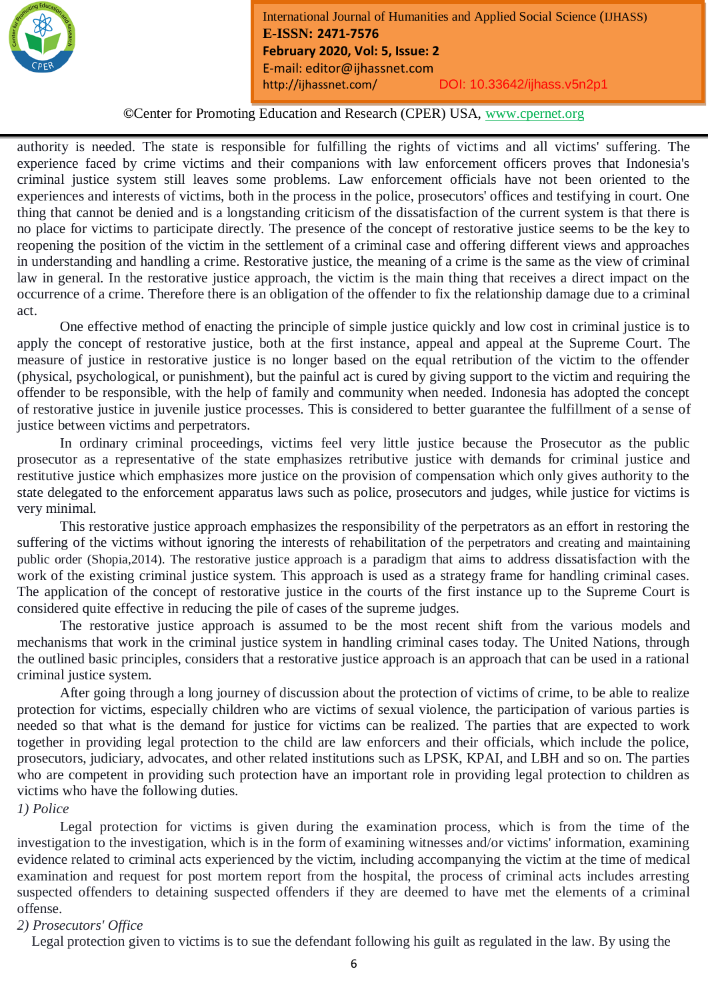

**©**Center for Promoting Education and Research (CPER) USA, www.cpernet.org

*Month Year: January2019*

authority is needed. The state is responsible for fulfilling the rights of victims and all victims' suffering. The experience faced by crime victims and their companions with law enforcement officers proves that Indonesia's criminal justice system still leaves some problems. Law enforcement officials have not been oriented to the experiences and interests of victims, both in the process in the police, prosecutors' offices and testifying in court. One thing that cannot be denied and is a longstanding criticism of the dissatisfaction of the current system is that there is no place for victims to participate directly. The presence of the concept of restorative justice seems to be the key to reopening the position of the victim in the settlement of a criminal case and offering different views and approaches in understanding and handling a crime. Restorative justice, the meaning of a crime is the same as the view of criminal law in general. In the restorative justice approach, the victim is the main thing that receives a direct impact on the occurrence of a crime. Therefore there is an obligation of the offender to fix the relationship damage due to a criminal act.

One effective method of enacting the principle of simple justice quickly and low cost in criminal justice is to apply the concept of restorative justice, both at the first instance, appeal and appeal at the Supreme Court. The measure of justice in restorative justice is no longer based on the equal retribution of the victim to the offender (physical, psychological, or punishment), but the painful act is cured by giving support to the victim and requiring the offender to be responsible, with the help of family and community when needed. Indonesia has adopted the concept of restorative justice in juvenile justice processes. This is considered to better guarantee the fulfillment of a sense of justice between victims and perpetrators.

In ordinary criminal proceedings, victims feel very little justice because the Prosecutor as the public prosecutor as a representative of the state emphasizes retributive justice with demands for criminal justice and restitutive justice which emphasizes more justice on the provision of compensation which only gives authority to the state delegated to the enforcement apparatus laws such as police, prosecutors and judges, while justice for victims is very minimal.

This restorative justice approach emphasizes the responsibility of the perpetrators as an effort in restoring the suffering of the victims without ignoring the interests of rehabilitation of the perpetrators and creating and maintaining public order (Shopia,2014). The restorative justice approach is a paradigm that aims to address dissatisfaction with the work of the existing criminal justice system. This approach is used as a strategy frame for handling criminal cases. The application of the concept of restorative justice in the courts of the first instance up to the Supreme Court is considered quite effective in reducing the pile of cases of the supreme judges.

The restorative justice approach is assumed to be the most recent shift from the various models and mechanisms that work in the criminal justice system in handling criminal cases today. The United Nations, through the outlined basic principles, considers that a restorative justice approach is an approach that can be used in a rational criminal justice system.

After going through a long journey of discussion about the protection of victims of crime, to be able to realize protection for victims, especially children who are victims of sexual violence, the participation of various parties is needed so that what is the demand for justice for victims can be realized. The parties that are expected to work together in providing legal protection to the child are law enforcers and their officials, which include the police, prosecutors, judiciary, advocates, and other related institutions such as LPSK, KPAI, and LBH and so on. The parties who are competent in providing such protection have an important role in providing legal protection to children as victims who have the following duties.

#### *1) Police*

Legal protection for victims is given during the examination process, which is from the time of the investigation to the investigation, which is in the form of examining witnesses and/or victims' information, examining evidence related to criminal acts experienced by the victim, including accompanying the victim at the time of medical examination and request for post mortem report from the hospital, the process of criminal acts includes arresting suspected offenders to detaining suspected offenders if they are deemed to have met the elements of a criminal offense.

#### *2) Prosecutors' Office*

Legal protection given to victims is to sue the defendant following his guilt as regulated in the law. By using the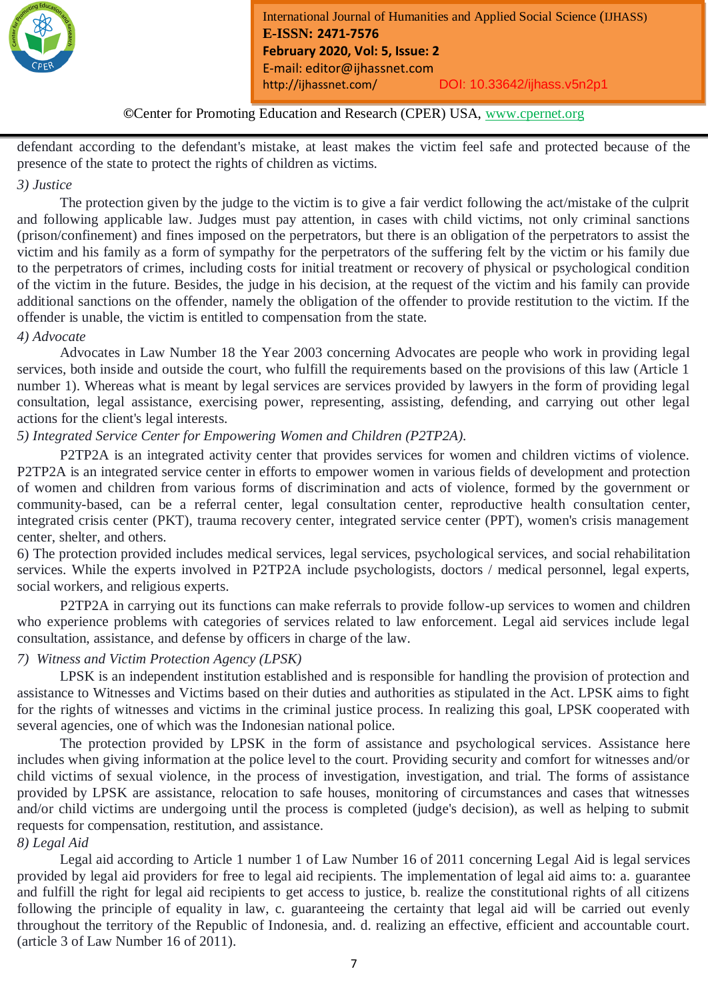

# **©**Center for Promoting Education and Research (CPER) USA, www.cpernet.org

*Month Year: January2019*

defendant according to the defendant's mistake, at least makes the victim feel safe and protected because of the presence of the state to protect the rights of children as victims.

# *3) Justice*

The protection given by the judge to the victim is to give a fair verdict following the act/mistake of the culprit and following applicable law. Judges must pay attention, in cases with child victims, not only criminal sanctions (prison/confinement) and fines imposed on the perpetrators, but there is an obligation of the perpetrators to assist the victim and his family as a form of sympathy for the perpetrators of the suffering felt by the victim or his family due to the perpetrators of crimes, including costs for initial treatment or recovery of physical or psychological condition of the victim in the future. Besides, the judge in his decision, at the request of the victim and his family can provide additional sanctions on the offender, namely the obligation of the offender to provide restitution to the victim. If the offender is unable, the victim is entitled to compensation from the state.

#### *4) Advocate*

Advocates in Law Number 18 the Year 2003 concerning Advocates are people who work in providing legal services, both inside and outside the court, who fulfill the requirements based on the provisions of this law (Article 1 number 1). Whereas what is meant by legal services are services provided by lawyers in the form of providing legal consultation, legal assistance, exercising power, representing, assisting, defending, and carrying out other legal actions for the client's legal interests.

# *5) Integrated Service Center for Empowering Women and Children (P2TP2A).*

P2TP2A is an integrated activity center that provides services for women and children victims of violence. P2TP2A is an integrated service center in efforts to empower women in various fields of development and protection of women and children from various forms of discrimination and acts of violence, formed by the government or community-based, can be a referral center, legal consultation center, reproductive health consultation center, integrated crisis center (PKT), trauma recovery center, integrated service center (PPT), women's crisis management center, shelter, and others.

6) The protection provided includes medical services, legal services, psychological services, and social rehabilitation services. While the experts involved in P2TP2A include psychologists, doctors / medical personnel, legal experts, social workers, and religious experts.

P2TP2A in carrying out its functions can make referrals to provide follow-up services to women and children who experience problems with categories of services related to law enforcement. Legal aid services include legal consultation, assistance, and defense by officers in charge of the law.

#### *7) Witness and Victim Protection Agency (LPSK)*

LPSK is an independent institution established and is responsible for handling the provision of protection and assistance to Witnesses and Victims based on their duties and authorities as stipulated in the Act. LPSK aims to fight for the rights of witnesses and victims in the criminal justice process. In realizing this goal, LPSK cooperated with several agencies, one of which was the Indonesian national police.

The protection provided by LPSK in the form of assistance and psychological services. Assistance here includes when giving information at the police level to the court. Providing security and comfort for witnesses and/or child victims of sexual violence, in the process of investigation, investigation, and trial. The forms of assistance provided by LPSK are assistance, relocation to safe houses, monitoring of circumstances and cases that witnesses and/or child victims are undergoing until the process is completed (judge's decision), as well as helping to submit requests for compensation, restitution, and assistance.

#### *8) Legal Aid*

Legal aid according to Article 1 number 1 of Law Number 16 of 2011 concerning Legal Aid is legal services provided by legal aid providers for free to legal aid recipients. The implementation of legal aid aims to: a. guarantee and fulfill the right for legal aid recipients to get access to justice, b. realize the constitutional rights of all citizens following the principle of equality in law, c. guaranteeing the certainty that legal aid will be carried out evenly throughout the territory of the Republic of Indonesia, and. d. realizing an effective, efficient and accountable court. (article 3 of Law Number 16 of 2011).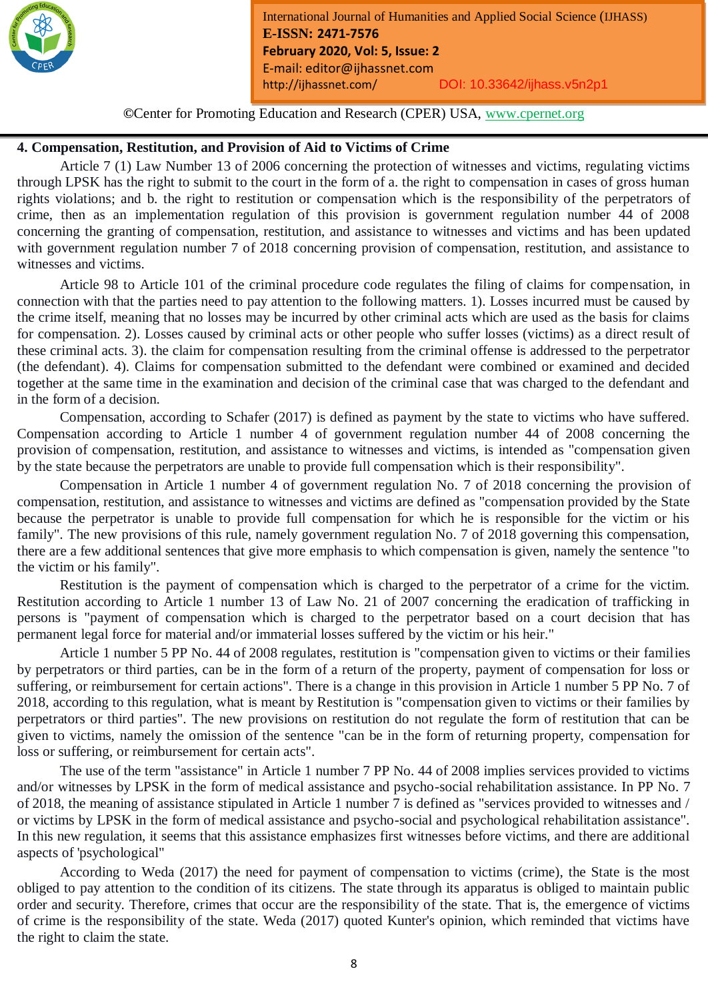

**©**Center for Promoting Education and Research (CPER) USA, www.cpernet.org

*Month Year: January2019*

#### **4. Compensation, Restitution, and Provision of Aid to Victims of Crime**

Article 7 (1) Law Number 13 of 2006 concerning the protection of witnesses and victims, regulating victims through LPSK has the right to submit to the court in the form of a. the right to compensation in cases of gross human rights violations; and b. the right to restitution or compensation which is the responsibility of the perpetrators of crime, then as an implementation regulation of this provision is government regulation number 44 of 2008 concerning the granting of compensation, restitution, and assistance to witnesses and victims and has been updated with government regulation number 7 of 2018 concerning provision of compensation, restitution, and assistance to witnesses and victims.

Article 98 to Article 101 of the criminal procedure code regulates the filing of claims for compensation, in connection with that the parties need to pay attention to the following matters. 1). Losses incurred must be caused by the crime itself, meaning that no losses may be incurred by other criminal acts which are used as the basis for claims for compensation. 2). Losses caused by criminal acts or other people who suffer losses (victims) as a direct result of these criminal acts. 3). the claim for compensation resulting from the criminal offense is addressed to the perpetrator (the defendant). 4). Claims for compensation submitted to the defendant were combined or examined and decided together at the same time in the examination and decision of the criminal case that was charged to the defendant and in the form of a decision.

Compensation, according to Schafer (2017) is defined as payment by the state to victims who have suffered. Compensation according to Article 1 number 4 of government regulation number 44 of 2008 concerning the provision of compensation, restitution, and assistance to witnesses and victims, is intended as "compensation given by the state because the perpetrators are unable to provide full compensation which is their responsibility".

Compensation in Article 1 number 4 of government regulation No. 7 of 2018 concerning the provision of compensation, restitution, and assistance to witnesses and victims are defined as "compensation provided by the State because the perpetrator is unable to provide full compensation for which he is responsible for the victim or his family". The new provisions of this rule, namely government regulation No. 7 of 2018 governing this compensation, there are a few additional sentences that give more emphasis to which compensation is given, namely the sentence "to the victim or his family".

Restitution is the payment of compensation which is charged to the perpetrator of a crime for the victim. Restitution according to Article 1 number 13 of Law No. 21 of 2007 concerning the eradication of trafficking in persons is "payment of compensation which is charged to the perpetrator based on a court decision that has permanent legal force for material and/or immaterial losses suffered by the victim or his heir."

Article 1 number 5 PP No. 44 of 2008 regulates, restitution is "compensation given to victims or their families by perpetrators or third parties, can be in the form of a return of the property, payment of compensation for loss or suffering, or reimbursement for certain actions". There is a change in this provision in Article 1 number 5 PP No. 7 of 2018, according to this regulation, what is meant by Restitution is "compensation given to victims or their families by perpetrators or third parties". The new provisions on restitution do not regulate the form of restitution that can be given to victims, namely the omission of the sentence "can be in the form of returning property, compensation for loss or suffering, or reimbursement for certain acts".

The use of the term "assistance" in Article 1 number 7 PP No. 44 of 2008 implies services provided to victims and/or witnesses by LPSK in the form of medical assistance and psycho-social rehabilitation assistance. In PP No. 7 of 2018, the meaning of assistance stipulated in Article 1 number 7 is defined as "services provided to witnesses and / or victims by LPSK in the form of medical assistance and psycho-social and psychological rehabilitation assistance". In this new regulation, it seems that this assistance emphasizes first witnesses before victims, and there are additional aspects of 'psychological"

According to Weda (2017) the need for payment of compensation to victims (crime), the State is the most obliged to pay attention to the condition of its citizens. The state through its apparatus is obliged to maintain public order and security. Therefore, crimes that occur are the responsibility of the state. That is, the emergence of victims of crime is the responsibility of the state. Weda (2017) quoted Kunter's opinion, which reminded that victims have the right to claim the state.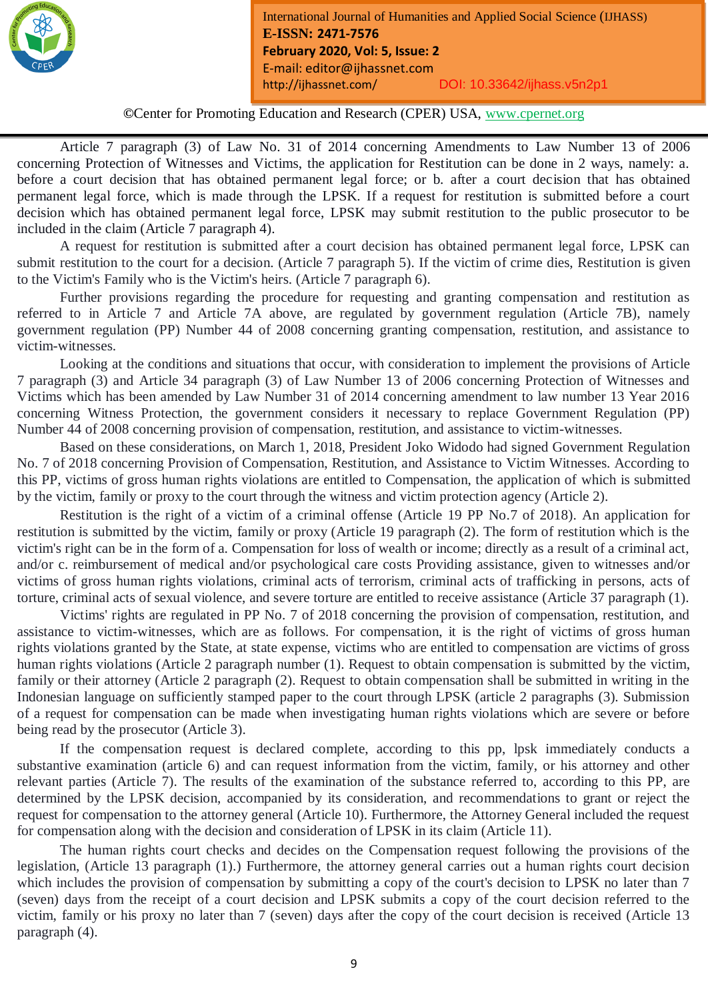

**©**Center for Promoting Education and Research (CPER) USA, www.cpernet.org

*Month Year: January2019*

Article 7 paragraph (3) of Law No. 31 of 2014 concerning Amendments to Law Number 13 of 2006 concerning Protection of Witnesses and Victims, the application for Restitution can be done in 2 ways, namely: a. before a court decision that has obtained permanent legal force; or b. after a court decision that has obtained permanent legal force, which is made through the LPSK. If a request for restitution is submitted before a court decision which has obtained permanent legal force, LPSK may submit restitution to the public prosecutor to be included in the claim (Article 7 paragraph 4).

A request for restitution is submitted after a court decision has obtained permanent legal force, LPSK can submit restitution to the court for a decision. (Article 7 paragraph 5). If the victim of crime dies, Restitution is given to the Victim's Family who is the Victim's heirs. (Article 7 paragraph 6).

Further provisions regarding the procedure for requesting and granting compensation and restitution as referred to in Article 7 and Article 7A above, are regulated by government regulation (Article 7B), namely government regulation (PP) Number 44 of 2008 concerning granting compensation, restitution, and assistance to victim-witnesses.

Looking at the conditions and situations that occur, with consideration to implement the provisions of Article 7 paragraph (3) and Article 34 paragraph (3) of Law Number 13 of 2006 concerning Protection of Witnesses and Victims which has been amended by Law Number 31 of 2014 concerning amendment to law number 13 Year 2016 concerning Witness Protection, the government considers it necessary to replace Government Regulation (PP) Number 44 of 2008 concerning provision of compensation, restitution, and assistance to victim-witnesses.

Based on these considerations, on March 1, 2018, President Joko Widodo had signed Government Regulation No. 7 of 2018 concerning Provision of Compensation, Restitution, and Assistance to Victim Witnesses. According to this PP, victims of gross human rights violations are entitled to Compensation, the application of which is submitted by the victim, family or proxy to the court through the witness and victim protection agency (Article 2).

Restitution is the right of a victim of a criminal offense (Article 19 PP No.7 of 2018). An application for restitution is submitted by the victim, family or proxy (Article 19 paragraph (2). The form of restitution which is the victim's right can be in the form of a. Compensation for loss of wealth or income; directly as a result of a criminal act, and/or c. reimbursement of medical and/or psychological care costs Providing assistance, given to witnesses and/or victims of gross human rights violations, criminal acts of terrorism, criminal acts of trafficking in persons, acts of torture, criminal acts of sexual violence, and severe torture are entitled to receive assistance (Article 37 paragraph (1).

Victims' rights are regulated in PP No. 7 of 2018 concerning the provision of compensation, restitution, and assistance to victim-witnesses, which are as follows. For compensation, it is the right of victims of gross human rights violations granted by the State, at state expense, victims who are entitled to compensation are victims of gross human rights violations (Article 2 paragraph number (1). Request to obtain compensation is submitted by the victim, family or their attorney (Article 2 paragraph (2). Request to obtain compensation shall be submitted in writing in the Indonesian language on sufficiently stamped paper to the court through LPSK (article 2 paragraphs (3). Submission of a request for compensation can be made when investigating human rights violations which are severe or before being read by the prosecutor (Article 3).

If the compensation request is declared complete, according to this pp, lpsk immediately conducts a substantive examination (article 6) and can request information from the victim, family, or his attorney and other relevant parties (Article 7). The results of the examination of the substance referred to, according to this PP, are determined by the LPSK decision, accompanied by its consideration, and recommendations to grant or reject the request for compensation to the attorney general (Article 10). Furthermore, the Attorney General included the request for compensation along with the decision and consideration of LPSK in its claim (Article 11).

The human rights court checks and decides on the Compensation request following the provisions of the legislation, (Article 13 paragraph (1).) Furthermore, the attorney general carries out a human rights court decision which includes the provision of compensation by submitting a copy of the court's decision to LPSK no later than 7 (seven) days from the receipt of a court decision and LPSK submits a copy of the court decision referred to the victim, family or his proxy no later than 7 (seven) days after the copy of the court decision is received (Article 13 paragraph (4).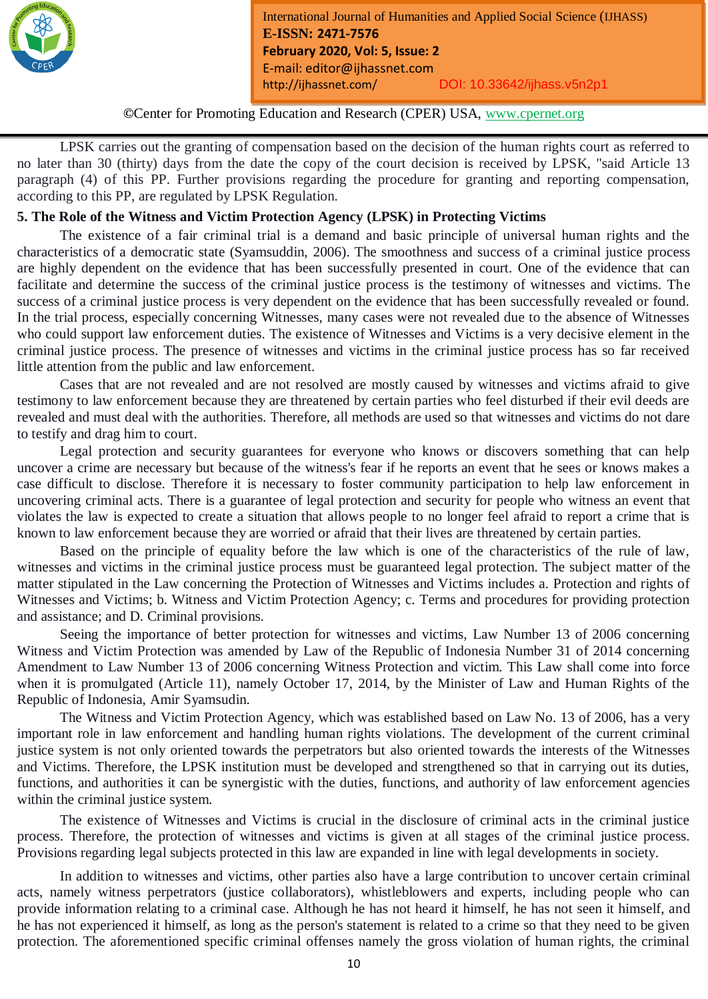

*Month Year: January2019*

LPSK carries out the granting of compensation based on the decision of the human rights court as referred to no later than 30 (thirty) days from the date the copy of the court decision is received by LPSK, "said Article 13 paragraph (4) of this PP. Further provisions regarding the procedure for granting and reporting compensation, according to this PP, are regulated by LPSK Regulation.

# **5. The Role of the Witness and Victim Protection Agency (LPSK) in Protecting Victims**

The existence of a fair criminal trial is a demand and basic principle of universal human rights and the characteristics of a democratic state (Syamsuddin, 2006). The smoothness and success of a criminal justice process are highly dependent on the evidence that has been successfully presented in court. One of the evidence that can facilitate and determine the success of the criminal justice process is the testimony of witnesses and victims. The success of a criminal justice process is very dependent on the evidence that has been successfully revealed or found. In the trial process, especially concerning Witnesses, many cases were not revealed due to the absence of Witnesses who could support law enforcement duties. The existence of Witnesses and Victims is a very decisive element in the criminal justice process. The presence of witnesses and victims in the criminal justice process has so far received little attention from the public and law enforcement.

Cases that are not revealed and are not resolved are mostly caused by witnesses and victims afraid to give testimony to law enforcement because they are threatened by certain parties who feel disturbed if their evil deeds are revealed and must deal with the authorities. Therefore, all methods are used so that witnesses and victims do not dare to testify and drag him to court.

Legal protection and security guarantees for everyone who knows or discovers something that can help uncover a crime are necessary but because of the witness's fear if he reports an event that he sees or knows makes a case difficult to disclose. Therefore it is necessary to foster community participation to help law enforcement in uncovering criminal acts. There is a guarantee of legal protection and security for people who witness an event that violates the law is expected to create a situation that allows people to no longer feel afraid to report a crime that is known to law enforcement because they are worried or afraid that their lives are threatened by certain parties.

Based on the principle of equality before the law which is one of the characteristics of the rule of law, witnesses and victims in the criminal justice process must be guaranteed legal protection. The subject matter of the matter stipulated in the Law concerning the Protection of Witnesses and Victims includes a. Protection and rights of Witnesses and Victims; b. Witness and Victim Protection Agency; c. Terms and procedures for providing protection and assistance; and D. Criminal provisions.

Seeing the importance of better protection for witnesses and victims, Law Number 13 of 2006 concerning Witness and Victim Protection was amended by Law of the Republic of Indonesia Number 31 of 2014 concerning Amendment to Law Number 13 of 2006 concerning Witness Protection and victim. This Law shall come into force when it is promulgated (Article 11), namely October 17, 2014, by the Minister of Law and Human Rights of the Republic of Indonesia, Amir Syamsudin.

The Witness and Victim Protection Agency, which was established based on Law No. 13 of 2006, has a very important role in law enforcement and handling human rights violations. The development of the current criminal justice system is not only oriented towards the perpetrators but also oriented towards the interests of the Witnesses and Victims. Therefore, the LPSK institution must be developed and strengthened so that in carrying out its duties, functions, and authorities it can be synergistic with the duties, functions, and authority of law enforcement agencies within the criminal justice system.

The existence of Witnesses and Victims is crucial in the disclosure of criminal acts in the criminal justice process. Therefore, the protection of witnesses and victims is given at all stages of the criminal justice process. Provisions regarding legal subjects protected in this law are expanded in line with legal developments in society.

In addition to witnesses and victims, other parties also have a large contribution to uncover certain criminal acts, namely witness perpetrators (justice collaborators), whistleblowers and experts, including people who can provide information relating to a criminal case. Although he has not heard it himself, he has not seen it himself, and he has not experienced it himself, as long as the person's statement is related to a crime so that they need to be given protection. The aforementioned specific criminal offenses namely the gross violation of human rights, the criminal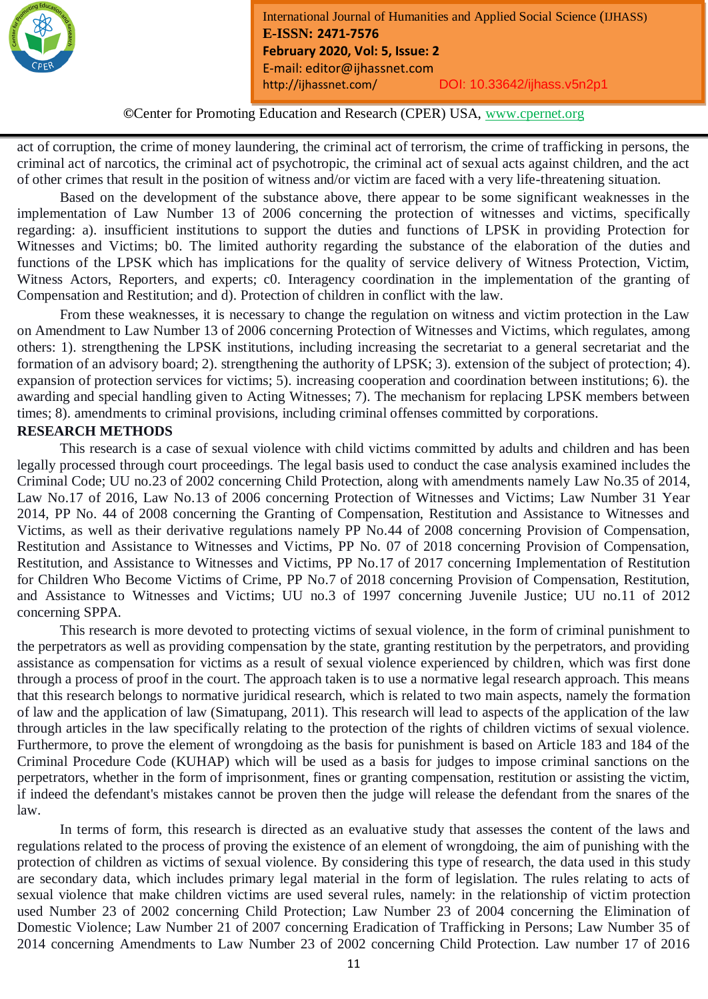

*Month Year: January2019*

act of corruption, the crime of money laundering, the criminal act of terrorism, the crime of trafficking in persons, the criminal act of narcotics, the criminal act of psychotropic, the criminal act of sexual acts against children, and the act of other crimes that result in the position of witness and/or victim are faced with a very life-threatening situation.

Based on the development of the substance above, there appear to be some significant weaknesses in the implementation of Law Number 13 of 2006 concerning the protection of witnesses and victims, specifically regarding: a). insufficient institutions to support the duties and functions of LPSK in providing Protection for Witnesses and Victims; b0. The limited authority regarding the substance of the elaboration of the duties and functions of the LPSK which has implications for the quality of service delivery of Witness Protection, Victim, Witness Actors, Reporters, and experts; c0. Interagency coordination in the implementation of the granting of Compensation and Restitution; and d). Protection of children in conflict with the law.

From these weaknesses, it is necessary to change the regulation on witness and victim protection in the Law on Amendment to Law Number 13 of 2006 concerning Protection of Witnesses and Victims, which regulates, among others: 1). strengthening the LPSK institutions, including increasing the secretariat to a general secretariat and the formation of an advisory board; 2). strengthening the authority of LPSK; 3). extension of the subject of protection; 4). expansion of protection services for victims; 5). increasing cooperation and coordination between institutions; 6). the awarding and special handling given to Acting Witnesses; 7). The mechanism for replacing LPSK members between times; 8). amendments to criminal provisions, including criminal offenses committed by corporations.

# **RESEARCH METHODS**

This research is a case of sexual violence with child victims committed by adults and children and has been legally processed through court proceedings. The legal basis used to conduct the case analysis examined includes the Criminal Code; UU no.23 of 2002 concerning Child Protection, along with amendments namely Law No.35 of 2014, Law No.17 of 2016, Law No.13 of 2006 concerning Protection of Witnesses and Victims; Law Number 31 Year 2014, PP No. 44 of 2008 concerning the Granting of Compensation, Restitution and Assistance to Witnesses and Victims, as well as their derivative regulations namely PP No.44 of 2008 concerning Provision of Compensation, Restitution and Assistance to Witnesses and Victims, PP No. 07 of 2018 concerning Provision of Compensation, Restitution, and Assistance to Witnesses and Victims, PP No.17 of 2017 concerning Implementation of Restitution for Children Who Become Victims of Crime, PP No.7 of 2018 concerning Provision of Compensation, Restitution, and Assistance to Witnesses and Victims; UU no.3 of 1997 concerning Juvenile Justice; UU no.11 of 2012 concerning SPPA.

This research is more devoted to protecting victims of sexual violence, in the form of criminal punishment to the perpetrators as well as providing compensation by the state, granting restitution by the perpetrators, and providing assistance as compensation for victims as a result of sexual violence experienced by children, which was first done through a process of proof in the court. The approach taken is to use a normative legal research approach. This means that this research belongs to normative juridical research, which is related to two main aspects, namely the formation of law and the application of law (Simatupang, 2011). This research will lead to aspects of the application of the law through articles in the law specifically relating to the protection of the rights of children victims of sexual violence. Furthermore, to prove the element of wrongdoing as the basis for punishment is based on Article 183 and 184 of the Criminal Procedure Code (KUHAP) which will be used as a basis for judges to impose criminal sanctions on the perpetrators, whether in the form of imprisonment, fines or granting compensation, restitution or assisting the victim, if indeed the defendant's mistakes cannot be proven then the judge will release the defendant from the snares of the law.

In terms of form, this research is directed as an evaluative study that assesses the content of the laws and regulations related to the process of proving the existence of an element of wrongdoing, the aim of punishing with the protection of children as victims of sexual violence. By considering this type of research, the data used in this study are secondary data, which includes primary legal material in the form of legislation. The rules relating to acts of sexual violence that make children victims are used several rules, namely: in the relationship of victim protection used Number 23 of 2002 concerning Child Protection; Law Number 23 of 2004 concerning the Elimination of Domestic Violence; Law Number 21 of 2007 concerning Eradication of Trafficking in Persons; Law Number 35 of 2014 concerning Amendments to Law Number 23 of 2002 concerning Child Protection. Law number 17 of 2016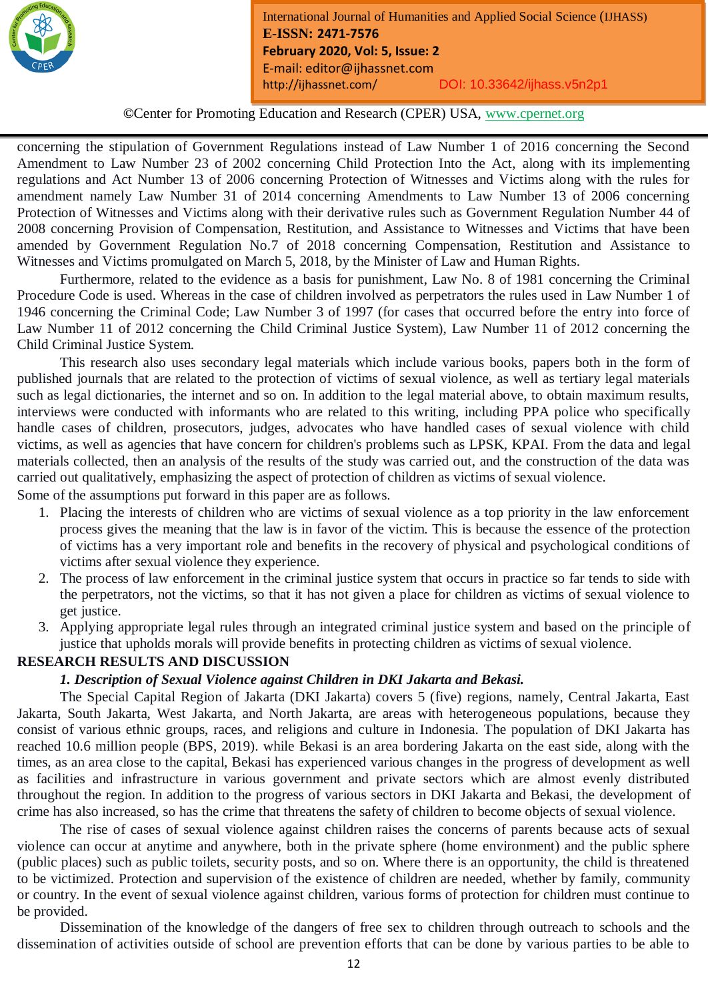

**©**Center for Promoting Education and Research (CPER) USA, www.cpernet.org

*Month Year: January2019*

concerning the stipulation of Government Regulations instead of Law Number 1 of 2016 concerning the Second Amendment to Law Number 23 of 2002 concerning Child Protection Into the Act, along with its implementing regulations and Act Number 13 of 2006 concerning Protection of Witnesses and Victims along with the rules for amendment namely Law Number 31 of 2014 concerning Amendments to Law Number 13 of 2006 concerning Protection of Witnesses and Victims along with their derivative rules such as Government Regulation Number 44 of 2008 concerning Provision of Compensation, Restitution, and Assistance to Witnesses and Victims that have been amended by Government Regulation No.7 of 2018 concerning Compensation, Restitution and Assistance to Witnesses and Victims promulgated on March 5, 2018, by the Minister of Law and Human Rights.

Furthermore, related to the evidence as a basis for punishment, Law No. 8 of 1981 concerning the Criminal Procedure Code is used. Whereas in the case of children involved as perpetrators the rules used in Law Number 1 of 1946 concerning the Criminal Code; Law Number 3 of 1997 (for cases that occurred before the entry into force of Law Number 11 of 2012 concerning the Child Criminal Justice System), Law Number 11 of 2012 concerning the Child Criminal Justice System.

This research also uses secondary legal materials which include various books, papers both in the form of published journals that are related to the protection of victims of sexual violence, as well as tertiary legal materials such as legal dictionaries, the internet and so on. In addition to the legal material above, to obtain maximum results, interviews were conducted with informants who are related to this writing, including PPA police who specifically handle cases of children, prosecutors, judges, advocates who have handled cases of sexual violence with child victims, as well as agencies that have concern for children's problems such as LPSK, KPAI. From the data and legal materials collected, then an analysis of the results of the study was carried out, and the construction of the data was carried out qualitatively, emphasizing the aspect of protection of children as victims of sexual violence.

Some of the assumptions put forward in this paper are as follows.

- 1. Placing the interests of children who are victims of sexual violence as a top priority in the law enforcement process gives the meaning that the law is in favor of the victim. This is because the essence of the protection of victims has a very important role and benefits in the recovery of physical and psychological conditions of victims after sexual violence they experience.
- 2. The process of law enforcement in the criminal justice system that occurs in practice so far tends to side with the perpetrators, not the victims, so that it has not given a place for children as victims of sexual violence to get justice.
- 3. Applying appropriate legal rules through an integrated criminal justice system and based on the principle of justice that upholds morals will provide benefits in protecting children as victims of sexual violence.

#### **RESEARCH RESULTS AND DISCUSSION**

#### *1. Description of Sexual Violence against Children in DKI Jakarta and Bekasi.*

The Special Capital Region of Jakarta (DKI Jakarta) covers 5 (five) regions, namely, Central Jakarta, East Jakarta, South Jakarta, West Jakarta, and North Jakarta, are areas with heterogeneous populations, because they consist of various ethnic groups, races, and religions and culture in Indonesia. The population of DKI Jakarta has reached 10.6 million people (BPS, 2019). while Bekasi is an area bordering Jakarta on the east side, along with the times, as an area close to the capital, Bekasi has experienced various changes in the progress of development as well as facilities and infrastructure in various government and private sectors which are almost evenly distributed throughout the region. In addition to the progress of various sectors in DKI Jakarta and Bekasi, the development of crime has also increased, so has the crime that threatens the safety of children to become objects of sexual violence.

The rise of cases of sexual violence against children raises the concerns of parents because acts of sexual violence can occur at anytime and anywhere, both in the private sphere (home environment) and the public sphere (public places) such as public toilets, security posts, and so on. Where there is an opportunity, the child is threatened to be victimized. Protection and supervision of the existence of children are needed, whether by family, community or country. In the event of sexual violence against children, various forms of protection for children must continue to be provided.

Dissemination of the knowledge of the dangers of free sex to children through outreach to schools and the dissemination of activities outside of school are prevention efforts that can be done by various parties to be able to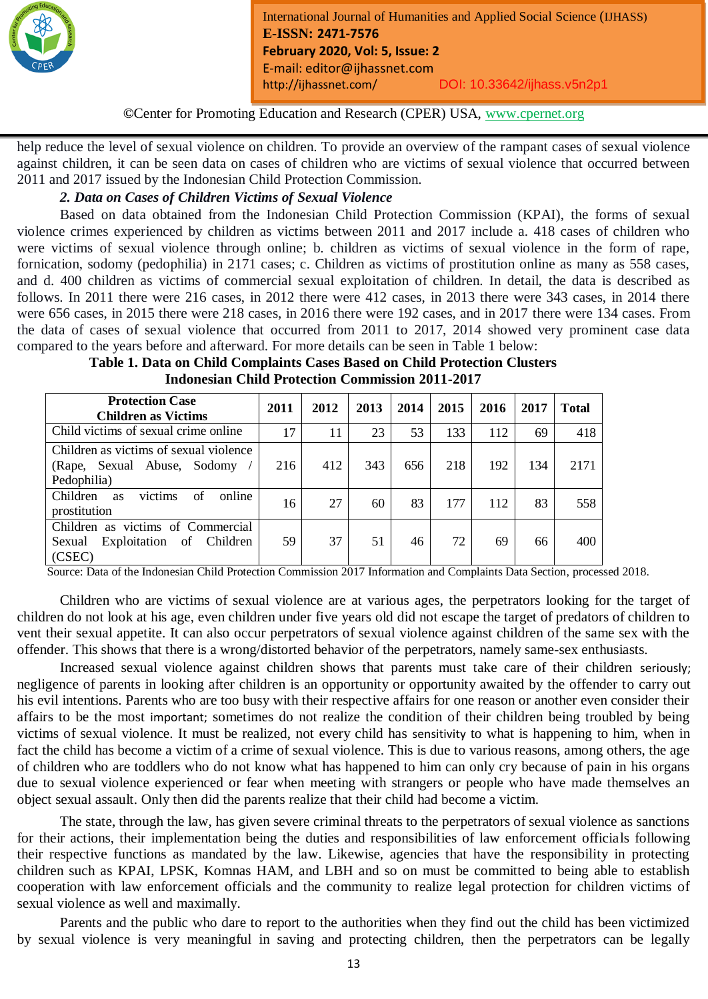

*Month Year: January2019*

help reduce the level of sexual violence on children. To provide an overview of the rampant cases of sexual violence against children, it can be seen data on cases of children who are victims of sexual violence that occurred between 2011 and 2017 issued by the Indonesian Child Protection Commission.

# *2. Data on Cases of Children Victims of Sexual Violence*

Based on data obtained from the Indonesian Child Protection Commission (KPAI), the forms of sexual violence crimes experienced by children as victims between 2011 and 2017 include a. 418 cases of children who were victims of sexual violence through online; b. children as victims of sexual violence in the form of rape, fornication, sodomy (pedophilia) in 2171 cases; c. Children as victims of prostitution online as many as 558 cases, and d. 400 children as victims of commercial sexual exploitation of children. In detail, the data is described as follows. In 2011 there were 216 cases, in 2012 there were 412 cases, in 2013 there were 343 cases, in 2014 there were 656 cases, in 2015 there were 218 cases, in 2016 there were 192 cases, and in 2017 there were 134 cases. From the data of cases of sexual violence that occurred from 2011 to 2017, 2014 showed very prominent case data compared to the years before and afterward. For more details can be seen in Table 1 below:

| Table 1. Data on Child Complaints Cases Based on Child Protection Clusters |
|----------------------------------------------------------------------------|
| <b>Indonesian Child Protection Commission 2011-2017</b>                    |

| <b>Protection Case</b><br><b>Children as Victims</b>                                  | 2011 | 2012 | 2013 | 2014 | 2015 | 2016 | 2017 | <b>Total</b> |
|---------------------------------------------------------------------------------------|------|------|------|------|------|------|------|--------------|
| Child victims of sexual crime online                                                  | 17   | 11   | 23   | 53   | 133  | 112  | 69   | 418          |
| Children as victims of sexual violence<br>(Rape, Sexual Abuse, Sodomy)<br>Pedophilia) | 216  | 412  | 343  | 656  | 218  | 192  | 134  | 2171         |
| victims<br>Children<br>of<br>online<br><b>as</b><br>prostitution                      | 16   | 27   | 60   | 83   | 177  | 112  | 83   | 558          |
| Children as victims of Commercial<br>Exploitation of<br>Children<br>Sexual<br>(CSEC)  | 59   | 37   | 51   | 46   | 72   | 69   | 66   | 400          |

Source: Data of the Indonesian Child Protection Commission 2017 Information and Complaints Data Section, processed 2018.

Children who are victims of sexual violence are at various ages, the perpetrators looking for the target of children do not look at his age, even children under five years old did not escape the target of predators of children to vent their sexual appetite. It can also occur perpetrators of sexual violence against children of the same sex with the offender. This shows that there is a wrong/distorted behavior of the perpetrators, namely same-sex enthusiasts.

Increased sexual violence against children shows that parents must take care of their children seriously; negligence of parents in looking after children is an opportunity or opportunity awaited by the offender to carry out his evil intentions. Parents who are too busy with their respective affairs for one reason or another even consider their affairs to be the most important; sometimes do not realize the condition of their children being troubled by being victims of sexual violence. It must be realized, not every child has sensitivity to what is happening to him, when in fact the child has become a victim of a crime of sexual violence. This is due to various reasons, among others, the age of children who are toddlers who do not know what has happened to him can only cry because of pain in his organs due to sexual violence experienced or fear when meeting with strangers or people who have made themselves an object sexual assault. Only then did the parents realize that their child had become a victim.

The state, through the law, has given severe criminal threats to the perpetrators of sexual violence as sanctions for their actions, their implementation being the duties and responsibilities of law enforcement officials following their respective functions as mandated by the law. Likewise, agencies that have the responsibility in protecting children such as KPAI, LPSK, Komnas HAM, and LBH and so on must be committed to being able to establish cooperation with law enforcement officials and the community to realize legal protection for children victims of sexual violence as well and maximally.

Parents and the public who dare to report to the authorities when they find out the child has been victimized by sexual violence is very meaningful in saving and protecting children, then the perpetrators can be legally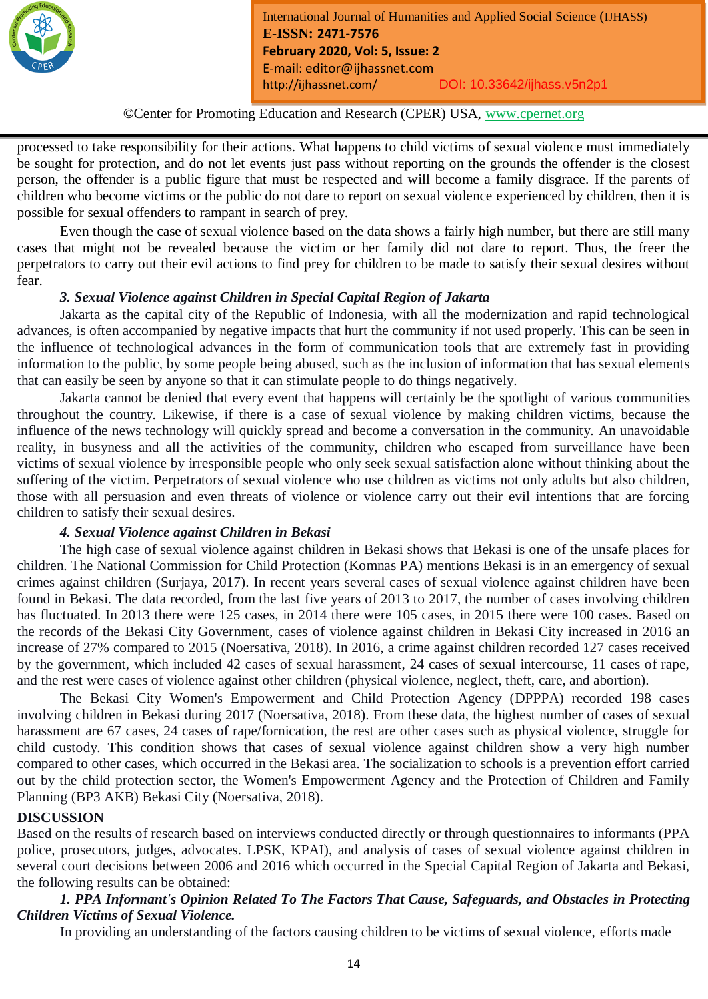

*Month Year: January2019*

processed to take responsibility for their actions. What happens to child victims of sexual violence must immediately be sought for protection, and do not let events just pass without reporting on the grounds the offender is the closest person, the offender is a public figure that must be respected and will become a family disgrace. If the parents of children who become victims or the public do not dare to report on sexual violence experienced by children, then it is possible for sexual offenders to rampant in search of prey.

Even though the case of sexual violence based on the data shows a fairly high number, but there are still many cases that might not be revealed because the victim or her family did not dare to report. Thus, the freer the perpetrators to carry out their evil actions to find prey for children to be made to satisfy their sexual desires without fear.

# *3. Sexual Violence against Children in Special Capital Region of Jakarta*

Jakarta as the capital city of the Republic of Indonesia, with all the modernization and rapid technological advances, is often accompanied by negative impacts that hurt the community if not used properly. This can be seen in the influence of technological advances in the form of communication tools that are extremely fast in providing information to the public, by some people being abused, such as the inclusion of information that has sexual elements that can easily be seen by anyone so that it can stimulate people to do things negatively.

Jakarta cannot be denied that every event that happens will certainly be the spotlight of various communities throughout the country. Likewise, if there is a case of sexual violence by making children victims, because the influence of the news technology will quickly spread and become a conversation in the community. An unavoidable reality, in busyness and all the activities of the community, children who escaped from surveillance have been victims of sexual violence by irresponsible people who only seek sexual satisfaction alone without thinking about the suffering of the victim. Perpetrators of sexual violence who use children as victims not only adults but also children, those with all persuasion and even threats of violence or violence carry out their evil intentions that are forcing children to satisfy their sexual desires.

#### *4. Sexual Violence against Children in Bekasi*

The high case of sexual violence against children in Bekasi shows that Bekasi is one of the unsafe places for children. The National Commission for Child Protection (Komnas PA) mentions Bekasi is in an emergency of sexual crimes against children (Surjaya, 2017). In recent years several cases of sexual violence against children have been found in Bekasi. The data recorded, from the last five years of 2013 to 2017, the number of cases involving children has fluctuated. In 2013 there were 125 cases, in 2014 there were 105 cases, in 2015 there were 100 cases. Based on the records of the Bekasi City Government, cases of violence against children in Bekasi City increased in 2016 an increase of 27% compared to 2015 (Noersativa, 2018). In 2016, a crime against children recorded 127 cases received by the government, which included 42 cases of sexual harassment, 24 cases of sexual intercourse, 11 cases of rape, and the rest were cases of violence against other children (physical violence, neglect, theft, care, and abortion).

The Bekasi City Women's Empowerment and Child Protection Agency (DPPPA) recorded 198 cases involving children in Bekasi during 2017 (Noersativa, 2018). From these data, the highest number of cases of sexual harassment are 67 cases, 24 cases of rape/fornication, the rest are other cases such as physical violence, struggle for child custody. This condition shows that cases of sexual violence against children show a very high number compared to other cases, which occurred in the Bekasi area. The socialization to schools is a prevention effort carried out by the child protection sector, the Women's Empowerment Agency and the Protection of Children and Family Planning (BP3 AKB) Bekasi City (Noersativa, 2018).

# **DISCUSSION**

Based on the results of research based on interviews conducted directly or through questionnaires to informants (PPA police, prosecutors, judges, advocates. LPSK, KPAI), and analysis of cases of sexual violence against children in several court decisions between 2006 and 2016 which occurred in the Special Capital Region of Jakarta and Bekasi, the following results can be obtained:

# *1. PPA Informant's Opinion Related To The Factors That Cause, Safeguards, and Obstacles in Protecting Children Victims of Sexual Violence.*

In providing an understanding of the factors causing children to be victims of sexual violence, efforts made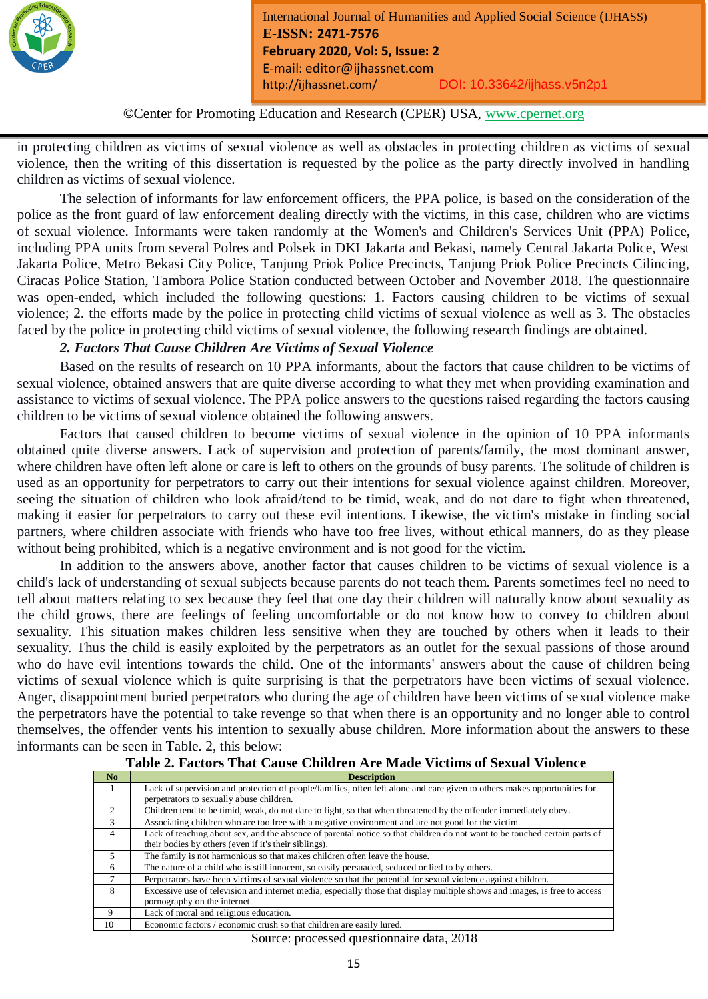

*Month Year: January2019*

in protecting children as victims of sexual violence as well as obstacles in protecting children as victims of sexual violence, then the writing of this dissertation is requested by the police as the party directly involved in handling children as victims of sexual violence.

The selection of informants for law enforcement officers, the PPA police, is based on the consideration of the police as the front guard of law enforcement dealing directly with the victims, in this case, children who are victims of sexual violence. Informants were taken randomly at the Women's and Children's Services Unit (PPA) Police, including PPA units from several Polres and Polsek in DKI Jakarta and Bekasi, namely Central Jakarta Police, West Jakarta Police, Metro Bekasi City Police, Tanjung Priok Police Precincts, Tanjung Priok Police Precincts Cilincing, Ciracas Police Station, Tambora Police Station conducted between October and November 2018. The questionnaire was open-ended, which included the following questions: 1. Factors causing children to be victims of sexual violence; 2. the efforts made by the police in protecting child victims of sexual violence as well as 3. The obstacles faced by the police in protecting child victims of sexual violence, the following research findings are obtained.

# *2. Factors That Cause Children Are Victims of Sexual Violence*

Based on the results of research on 10 PPA informants, about the factors that cause children to be victims of sexual violence, obtained answers that are quite diverse according to what they met when providing examination and assistance to victims of sexual violence. The PPA police answers to the questions raised regarding the factors causing children to be victims of sexual violence obtained the following answers.

Factors that caused children to become victims of sexual violence in the opinion of 10 PPA informants obtained quite diverse answers. Lack of supervision and protection of parents/family, the most dominant answer, where children have often left alone or care is left to others on the grounds of busy parents. The solitude of children is used as an opportunity for perpetrators to carry out their intentions for sexual violence against children. Moreover, seeing the situation of children who look afraid/tend to be timid, weak, and do not dare to fight when threatened, making it easier for perpetrators to carry out these evil intentions. Likewise, the victim's mistake in finding social partners, where children associate with friends who have too free lives, without ethical manners, do as they please without being prohibited, which is a negative environment and is not good for the victim.

In addition to the answers above, another factor that causes children to be victims of sexual violence is a child's lack of understanding of sexual subjects because parents do not teach them. Parents sometimes feel no need to tell about matters relating to sex because they feel that one day their children will naturally know about sexuality as the child grows, there are feelings of feeling uncomfortable or do not know how to convey to children about sexuality. This situation makes children less sensitive when they are touched by others when it leads to their sexuality. Thus the child is easily exploited by the perpetrators as an outlet for the sexual passions of those around who do have evil intentions towards the child. One of the informants' answers about the cause of children being victims of sexual violence which is quite surprising is that the perpetrators have been victims of sexual violence. Anger, disappointment buried perpetrators who during the age of children have been victims of sexual violence make the perpetrators have the potential to take revenge so that when there is an opportunity and no longer able to control themselves, the offender vents his intention to sexually abuse children. More information about the answers to these informants can be seen in Table. 2, this below:

| No             | <b>Description</b>                                                                                                         |
|----------------|----------------------------------------------------------------------------------------------------------------------------|
| $\overline{1}$ | Lack of supervision and protection of people/families, often left alone and care given to others makes opportunities for   |
|                | perpetrators to sexually abuse children.                                                                                   |
| $\mathfrak{D}$ | Children tend to be timid, weak, do not dare to fight, so that when threatened by the offender immediately obey.           |
| 3              | Associating children who are too free with a negative environment and are not good for the victim.                         |
| $\overline{4}$ | Lack of teaching about sex, and the absence of parental notice so that children do not want to be touched certain parts of |
|                | their bodies by others (even if it's their siblings).                                                                      |
| 5              | The family is not harmonious so that makes children often leave the house.                                                 |
| 6              | The nature of a child who is still innocent, so easily persuaded, seduced or lied to by others.                            |
| 7              | Perpetrators have been victims of sexual violence so that the potential for sexual violence against children.              |
| 8              | Excessive use of television and internet media, especially those that display multiple shows and images, is free to access |
|                | pornography on the internet.                                                                                               |
| 9              | Lack of moral and religious education.                                                                                     |
| 10             | Economic factors / economic crush so that children are easily lured.                                                       |

#### **Table 2. Factors That Cause Children Are Made Victims of Sexual Violence**

Source: processed questionnaire data, 2018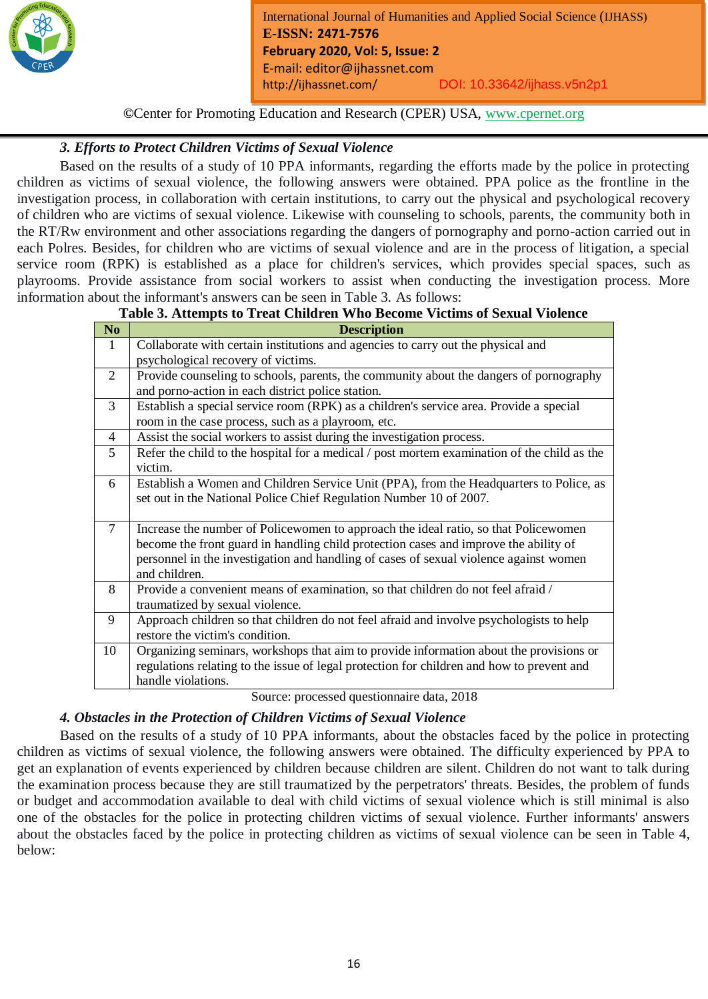

*Month Year: January2019*

# *3. Efforts to Protect Children Victims of Sexual Violence*

Based on the results of a study of 10 PPA informants, regarding the efforts made by the police in protecting children as victims of sexual violence, the following answers were obtained. PPA police as the frontline in the investigation process, in collaboration with certain institutions, to carry out the physical and psychological recovery of children who are victims of sexual violence. Likewise with counseling to schools, parents, the community both in the RT/Rw environment and other associations regarding the dangers of pornography and porno-action carried out in each Polres. Besides, for children who are victims of sexual violence and are in the process of litigation, a special service room (RPK) is established as a place for children's services, which provides special spaces, such as playrooms. Provide assistance from social workers to assist when conducting the investigation process. More information about the informant's answers can be seen in Table 3. As follows:

# **Table 3. Attempts to Treat Children Who Become Victims of Sexual Violence**

| N <sub>o</sub> | <b>Description</b>                                                                          |
|----------------|---------------------------------------------------------------------------------------------|
| $\mathbf{1}$   | Collaborate with certain institutions and agencies to carry out the physical and            |
|                | psychological recovery of victims.                                                          |
| 2              | Provide counseling to schools, parents, the community about the dangers of pornography      |
|                | and porno-action in each district police station.                                           |
| 3              | Establish a special service room (RPK) as a children's service area. Provide a special      |
|                | room in the case process, such as a playroom, etc.                                          |
| 4              | Assist the social workers to assist during the investigation process.                       |
| 5              | Refer the child to the hospital for a medical / post mortem examination of the child as the |
|                | victim.                                                                                     |
| 6              | Establish a Women and Children Service Unit (PPA), from the Headquarters to Police, as      |
|                | set out in the National Police Chief Regulation Number 10 of 2007.                          |
|                |                                                                                             |
| $\tau$         | Increase the number of Policewomen to approach the ideal ratio, so that Policewomen         |
|                | become the front guard in handling child protection cases and improve the ability of        |
|                | personnel in the investigation and handling of cases of sexual violence against women       |
|                | and children.                                                                               |
| 8              | Provide a convenient means of examination, so that children do not feel afraid /            |
|                | traumatized by sexual violence.                                                             |
| 9              | Approach children so that children do not feel afraid and involve psychologists to help     |
|                | restore the victim's condition.                                                             |
| 10             | Organizing seminars, workshops that aim to provide information about the provisions or      |
|                | regulations relating to the issue of legal protection for children and how to prevent and   |
|                | handle violations.                                                                          |

Source: processed questionnaire data, 2018

# *4. Obstacles in the Protection of Children Victims of Sexual Violence*

Based on the results of a study of 10 PPA informants, about the obstacles faced by the police in protecting children as victims of sexual violence, the following answers were obtained. The difficulty experienced by PPA to get an explanation of events experienced by children because children are silent. Children do not want to talk during the examination process because they are still traumatized by the perpetrators' threats. Besides, the problem of funds or budget and accommodation available to deal with child victims of sexual violence which is still minimal is also one of the obstacles for the police in protecting children victims of sexual violence. Further informants' answers about the obstacles faced by the police in protecting children as victims of sexual violence can be seen in Table 4, below: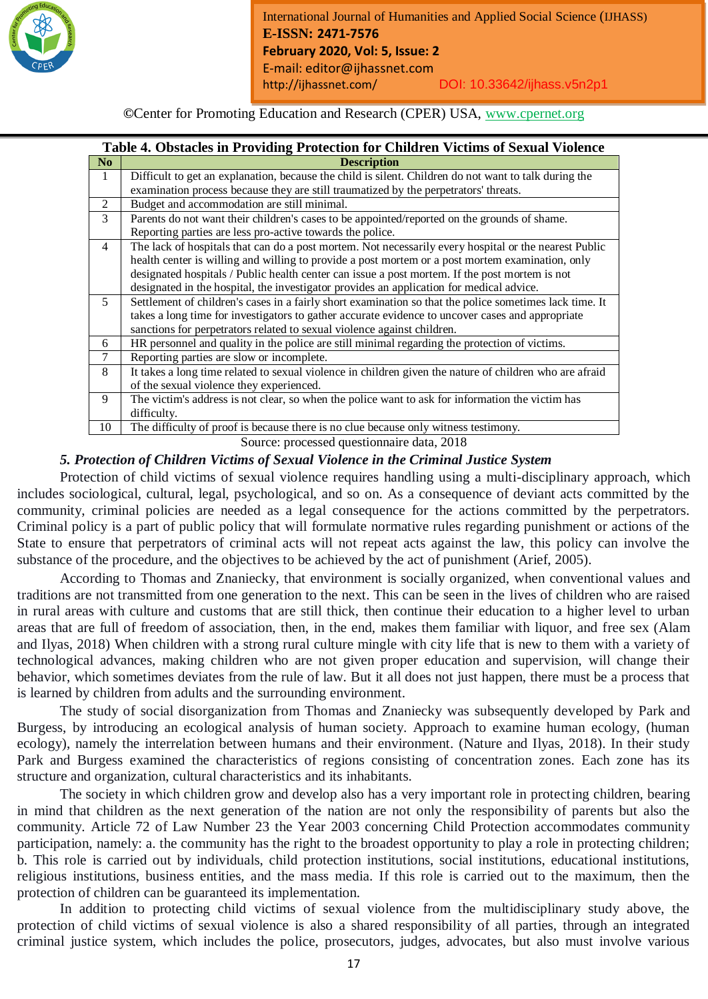

*Month Year: January2019*

|                | Table 4. Obstacles in Providing Protection for Children Victims of Sexual Violence                      |
|----------------|---------------------------------------------------------------------------------------------------------|
| N <sub>0</sub> | <b>Description</b>                                                                                      |
| -1             | Difficult to get an explanation, because the child is silent. Children do not want to talk during the   |
|                | examination process because they are still traumatized by the perpetrators' threats.                    |
| 2              | Budget and accommodation are still minimal.                                                             |
| 3              | Parents do not want their children's cases to be appointed/reported on the grounds of shame.            |
|                | Reporting parties are less pro-active towards the police.                                               |
| $\overline{4}$ | The lack of hospitals that can do a post mortem. Not necessarily every hospital or the nearest Public   |
|                | health center is willing and willing to provide a post mortem or a post mortem examination, only        |
|                | designated hospitals / Public health center can issue a post mortem. If the post mortem is not          |
|                | designated in the hospital, the investigator provides an application for medical advice.                |
| 5              | Settlement of children's cases in a fairly short examination so that the police sometimes lack time. It |
|                | takes a long time for investigators to gather accurate evidence to uncover cases and appropriate        |
|                | sanctions for perpetrators related to sexual violence against children.                                 |
| 6              | HR personnel and quality in the police are still minimal regarding the protection of victims.           |
| 7              | Reporting parties are slow or incomplete.                                                               |
| 8              | It takes a long time related to sexual violence in children given the nature of children who are afraid |
|                | of the sexual violence they experienced.                                                                |
| 9              | The victim's address is not clear, so when the police want to ask for information the victim has        |
|                | difficulty.                                                                                             |
| 10             | The difficulty of proof is because there is no clue because only witness testimony.                     |

Source: processed questionnaire data, 2018

# *5. Protection of Children Victims of Sexual Violence in the Criminal Justice System*

Protection of child victims of sexual violence requires handling using a multi-disciplinary approach, which includes sociological, cultural, legal, psychological, and so on. As a consequence of deviant acts committed by the community, criminal policies are needed as a legal consequence for the actions committed by the perpetrators. Criminal policy is a part of public policy that will formulate normative rules regarding punishment or actions of the State to ensure that perpetrators of criminal acts will not repeat acts against the law, this policy can involve the substance of the procedure, and the objectives to be achieved by the act of punishment (Arief, 2005).

According to Thomas and Znaniecky, that environment is socially organized, when conventional values and traditions are not transmitted from one generation to the next. This can be seen in the lives of children who are raised in rural areas with culture and customs that are still thick, then continue their education to a higher level to urban areas that are full of freedom of association, then, in the end, makes them familiar with liquor, and free sex (Alam and Ilyas, 2018) When children with a strong rural culture mingle with city life that is new to them with a variety of technological advances, making children who are not given proper education and supervision, will change their behavior, which sometimes deviates from the rule of law. But it all does not just happen, there must be a process that is learned by children from adults and the surrounding environment.

The study of social disorganization from Thomas and Znaniecky was subsequently developed by Park and Burgess, by introducing an ecological analysis of human society. Approach to examine human ecology, (human ecology), namely the interrelation between humans and their environment. (Nature and Ilyas, 2018). In their study Park and Burgess examined the characteristics of regions consisting of concentration zones. Each zone has its structure and organization, cultural characteristics and its inhabitants.

The society in which children grow and develop also has a very important role in protecting children, bearing in mind that children as the next generation of the nation are not only the responsibility of parents but also the community. Article 72 of Law Number 23 the Year 2003 concerning Child Protection accommodates community participation, namely: a. the community has the right to the broadest opportunity to play a role in protecting children; b. This role is carried out by individuals, child protection institutions, social institutions, educational institutions, religious institutions, business entities, and the mass media. If this role is carried out to the maximum, then the protection of children can be guaranteed its implementation.

In addition to protecting child victims of sexual violence from the multidisciplinary study above, the protection of child victims of sexual violence is also a shared responsibility of all parties, through an integrated criminal justice system, which includes the police, prosecutors, judges, advocates, but also must involve various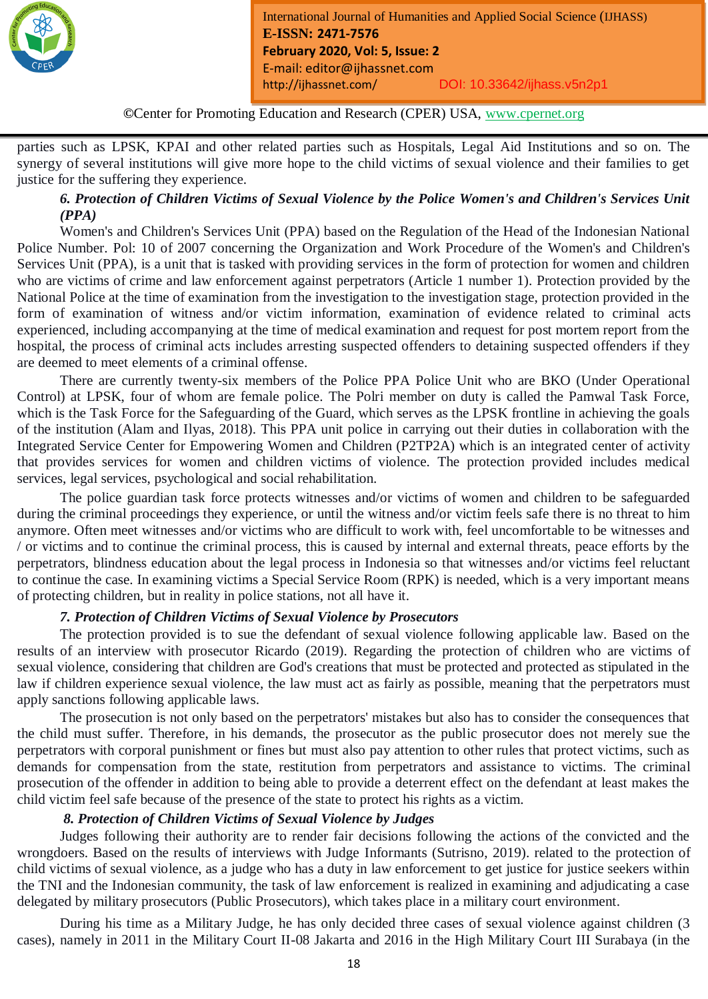

**©**Center for Promoting Education and Research (CPER) USA, www.cpernet.org

*Month Year: January2019*

parties such as LPSK, KPAI and other related parties such as Hospitals, Legal Aid Institutions and so on. The synergy of several institutions will give more hope to the child victims of sexual violence and their families to get justice for the suffering they experience.

# *6. Protection of Children Victims of Sexual Violence by the Police Women's and Children's Services Unit (PPA)*

Women's and Children's Services Unit (PPA) based on the Regulation of the Head of the Indonesian National Police Number. Pol: 10 of 2007 concerning the Organization and Work Procedure of the Women's and Children's Services Unit (PPA), is a unit that is tasked with providing services in the form of protection for women and children who are victims of crime and law enforcement against perpetrators (Article 1 number 1). Protection provided by the National Police at the time of examination from the investigation to the investigation stage, protection provided in the form of examination of witness and/or victim information, examination of evidence related to criminal acts experienced, including accompanying at the time of medical examination and request for post mortem report from the hospital, the process of criminal acts includes arresting suspected offenders to detaining suspected offenders if they are deemed to meet elements of a criminal offense.

There are currently twenty-six members of the Police PPA Police Unit who are BKO (Under Operational Control) at LPSK, four of whom are female police. The Polri member on duty is called the Pamwal Task Force, which is the Task Force for the Safeguarding of the Guard, which serves as the LPSK frontline in achieving the goals of the institution (Alam and Ilyas, 2018). This PPA unit police in carrying out their duties in collaboration with the Integrated Service Center for Empowering Women and Children (P2TP2A) which is an integrated center of activity that provides services for women and children victims of violence. The protection provided includes medical services, legal services, psychological and social rehabilitation.

The police guardian task force protects witnesses and/or victims of women and children to be safeguarded during the criminal proceedings they experience, or until the witness and/or victim feels safe there is no threat to him anymore. Often meet witnesses and/or victims who are difficult to work with, feel uncomfortable to be witnesses and / or victims and to continue the criminal process, this is caused by internal and external threats, peace efforts by the perpetrators, blindness education about the legal process in Indonesia so that witnesses and/or victims feel reluctant to continue the case. In examining victims a Special Service Room (RPK) is needed, which is a very important means of protecting children, but in reality in police stations, not all have it.

#### *7. Protection of Children Victims of Sexual Violence by Prosecutors*

The protection provided is to sue the defendant of sexual violence following applicable law. Based on the results of an interview with prosecutor Ricardo (2019). Regarding the protection of children who are victims of sexual violence, considering that children are God's creations that must be protected and protected as stipulated in the law if children experience sexual violence, the law must act as fairly as possible, meaning that the perpetrators must apply sanctions following applicable laws.

The prosecution is not only based on the perpetrators' mistakes but also has to consider the consequences that the child must suffer. Therefore, in his demands, the prosecutor as the public prosecutor does not merely sue the perpetrators with corporal punishment or fines but must also pay attention to other rules that protect victims, such as demands for compensation from the state, restitution from perpetrators and assistance to victims. The criminal prosecution of the offender in addition to being able to provide a deterrent effect on the defendant at least makes the child victim feel safe because of the presence of the state to protect his rights as a victim.

#### *8. Protection of Children Victims of Sexual Violence by Judges*

Judges following their authority are to render fair decisions following the actions of the convicted and the wrongdoers. Based on the results of interviews with Judge Informants (Sutrisno, 2019). related to the protection of child victims of sexual violence, as a judge who has a duty in law enforcement to get justice for justice seekers within the TNI and the Indonesian community, the task of law enforcement is realized in examining and adjudicating a case delegated by military prosecutors (Public Prosecutors), which takes place in a military court environment.

During his time as a Military Judge, he has only decided three cases of sexual violence against children (3 cases), namely in 2011 in the Military Court II-08 Jakarta and 2016 in the High Military Court III Surabaya (in the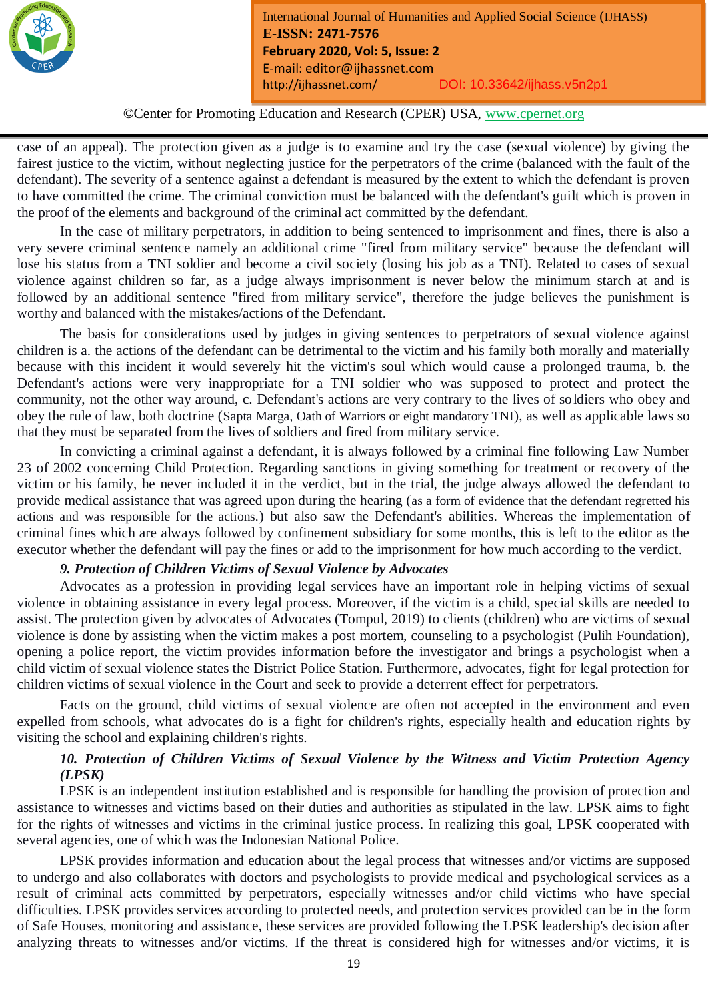

*Month Year: January2019*

case of an appeal). The protection given as a judge is to examine and try the case (sexual violence) by giving the fairest justice to the victim, without neglecting justice for the perpetrators of the crime (balanced with the fault of the defendant). The severity of a sentence against a defendant is measured by the extent to which the defendant is proven to have committed the crime. The criminal conviction must be balanced with the defendant's guilt which is proven in the proof of the elements and background of the criminal act committed by the defendant.

In the case of military perpetrators, in addition to being sentenced to imprisonment and fines, there is also a very severe criminal sentence namely an additional crime "fired from military service" because the defendant will lose his status from a TNI soldier and become a civil society (losing his job as a TNI). Related to cases of sexual violence against children so far, as a judge always imprisonment is never below the minimum starch at and is followed by an additional sentence "fired from military service", therefore the judge believes the punishment is worthy and balanced with the mistakes/actions of the Defendant.

The basis for considerations used by judges in giving sentences to perpetrators of sexual violence against children is a. the actions of the defendant can be detrimental to the victim and his family both morally and materially because with this incident it would severely hit the victim's soul which would cause a prolonged trauma, b. the Defendant's actions were very inappropriate for a TNI soldier who was supposed to protect and protect the community, not the other way around, c. Defendant's actions are very contrary to the lives of soldiers who obey and obey the rule of law, both doctrine (Sapta Marga, Oath of Warriors or eight mandatory TNI), as well as applicable laws so that they must be separated from the lives of soldiers and fired from military service.

In convicting a criminal against a defendant, it is always followed by a criminal fine following Law Number 23 of 2002 concerning Child Protection. Regarding sanctions in giving something for treatment or recovery of the victim or his family, he never included it in the verdict, but in the trial, the judge always allowed the defendant to provide medical assistance that was agreed upon during the hearing (as a form of evidence that the defendant regretted his actions and was responsible for the actions.) but also saw the Defendant's abilities. Whereas the implementation of criminal fines which are always followed by confinement subsidiary for some months, this is left to the editor as the executor whether the defendant will pay the fines or add to the imprisonment for how much according to the verdict.

#### *9. Protection of Children Victims of Sexual Violence by Advocates*

Advocates as a profession in providing legal services have an important role in helping victims of sexual violence in obtaining assistance in every legal process. Moreover, if the victim is a child, special skills are needed to assist. The protection given by advocates of Advocates (Tompul, 2019) to clients (children) who are victims of sexual violence is done by assisting when the victim makes a post mortem, counseling to a psychologist (Pulih Foundation), opening a police report, the victim provides information before the investigator and brings a psychologist when a child victim of sexual violence states the District Police Station. Furthermore, advocates, fight for legal protection for children victims of sexual violence in the Court and seek to provide a deterrent effect for perpetrators.

Facts on the ground, child victims of sexual violence are often not accepted in the environment and even expelled from schools, what advocates do is a fight for children's rights, especially health and education rights by visiting the school and explaining children's rights.

# *10. Protection of Children Victims of Sexual Violence by the Witness and Victim Protection Agency (LPSK)*

LPSK is an independent institution established and is responsible for handling the provision of protection and assistance to witnesses and victims based on their duties and authorities as stipulated in the law. LPSK aims to fight for the rights of witnesses and victims in the criminal justice process. In realizing this goal, LPSK cooperated with several agencies, one of which was the Indonesian National Police.

LPSK provides information and education about the legal process that witnesses and/or victims are supposed to undergo and also collaborates with doctors and psychologists to provide medical and psychological services as a result of criminal acts committed by perpetrators, especially witnesses and/or child victims who have special difficulties. LPSK provides services according to protected needs, and protection services provided can be in the form of Safe Houses, monitoring and assistance, these services are provided following the LPSK leadership's decision after analyzing threats to witnesses and/or victims. If the threat is considered high for witnesses and/or victims, it is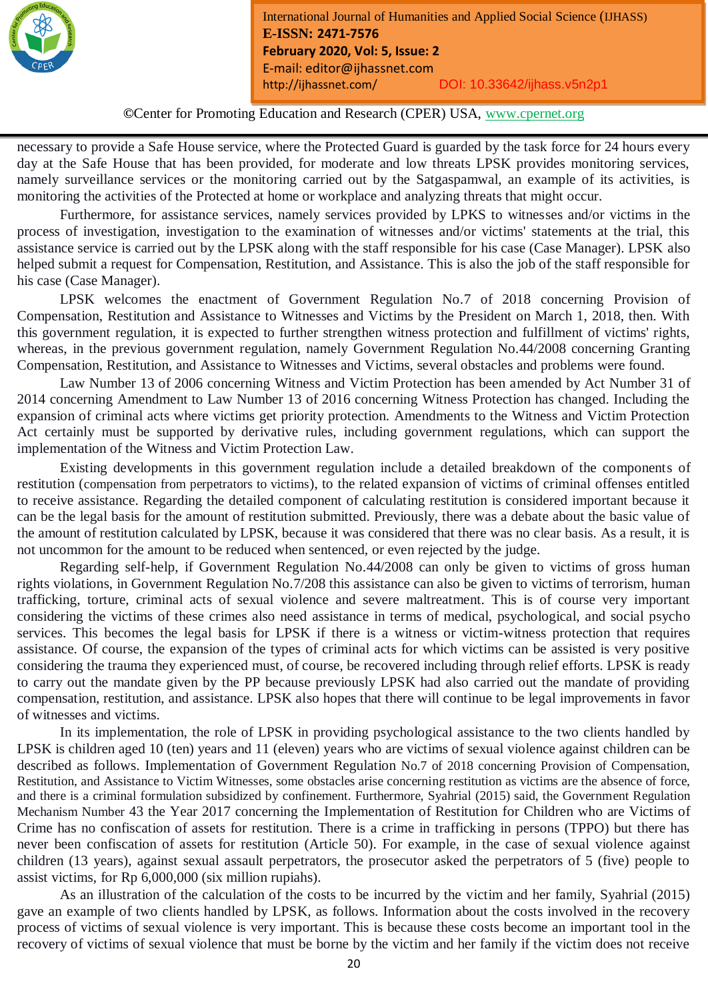

*Month Year: January2019*

necessary to provide a Safe House service, where the Protected Guard is guarded by the task force for 24 hours every day at the Safe House that has been provided, for moderate and low threats LPSK provides monitoring services, namely surveillance services or the monitoring carried out by the Satgaspamwal, an example of its activities, is monitoring the activities of the Protected at home or workplace and analyzing threats that might occur.

Furthermore, for assistance services, namely services provided by LPKS to witnesses and/or victims in the process of investigation, investigation to the examination of witnesses and/or victims' statements at the trial, this assistance service is carried out by the LPSK along with the staff responsible for his case (Case Manager). LPSK also helped submit a request for Compensation, Restitution, and Assistance. This is also the job of the staff responsible for his case (Case Manager).

LPSK welcomes the enactment of Government Regulation No.7 of 2018 concerning Provision of Compensation, Restitution and Assistance to Witnesses and Victims by the President on March 1, 2018, then. With this government regulation, it is expected to further strengthen witness protection and fulfillment of victims' rights, whereas, in the previous government regulation, namely Government Regulation No.44/2008 concerning Granting Compensation, Restitution, and Assistance to Witnesses and Victims, several obstacles and problems were found.

Law Number 13 of 2006 concerning Witness and Victim Protection has been amended by Act Number 31 of 2014 concerning Amendment to Law Number 13 of 2016 concerning Witness Protection has changed. Including the expansion of criminal acts where victims get priority protection. Amendments to the Witness and Victim Protection Act certainly must be supported by derivative rules, including government regulations, which can support the implementation of the Witness and Victim Protection Law.

Existing developments in this government regulation include a detailed breakdown of the components of restitution (compensation from perpetrators to victims), to the related expansion of victims of criminal offenses entitled to receive assistance. Regarding the detailed component of calculating restitution is considered important because it can be the legal basis for the amount of restitution submitted. Previously, there was a debate about the basic value of the amount of restitution calculated by LPSK, because it was considered that there was no clear basis. As a result, it is not uncommon for the amount to be reduced when sentenced, or even rejected by the judge.

Regarding self-help, if Government Regulation No.44/2008 can only be given to victims of gross human rights violations, in Government Regulation No.7/208 this assistance can also be given to victims of terrorism, human trafficking, torture, criminal acts of sexual violence and severe maltreatment. This is of course very important considering the victims of these crimes also need assistance in terms of medical, psychological, and social psycho services. This becomes the legal basis for LPSK if there is a witness or victim-witness protection that requires assistance. Of course, the expansion of the types of criminal acts for which victims can be assisted is very positive considering the trauma they experienced must, of course, be recovered including through relief efforts. LPSK is ready to carry out the mandate given by the PP because previously LPSK had also carried out the mandate of providing compensation, restitution, and assistance. LPSK also hopes that there will continue to be legal improvements in favor of witnesses and victims.

In its implementation, the role of LPSK in providing psychological assistance to the two clients handled by LPSK is children aged 10 (ten) years and 11 (eleven) years who are victims of sexual violence against children can be described as follows. Implementation of Government Regulation No.7 of 2018 concerning Provision of Compensation, Restitution, and Assistance to Victim Witnesses, some obstacles arise concerning restitution as victims are the absence of force, and there is a criminal formulation subsidized by confinement. Furthermore, Syahrial (2015) said, the Government Regulation Mechanism Number 43 the Year 2017 concerning the Implementation of Restitution for Children who are Victims of Crime has no confiscation of assets for restitution. There is a crime in trafficking in persons (TPPO) but there has never been confiscation of assets for restitution (Article 50). For example, in the case of sexual violence against children (13 years), against sexual assault perpetrators, the prosecutor asked the perpetrators of 5 (five) people to assist victims, for Rp 6,000,000 (six million rupiahs).

As an illustration of the calculation of the costs to be incurred by the victim and her family, Syahrial (2015) gave an example of two clients handled by LPSK, as follows. Information about the costs involved in the recovery process of victims of sexual violence is very important. This is because these costs become an important tool in the recovery of victims of sexual violence that must be borne by the victim and her family if the victim does not receive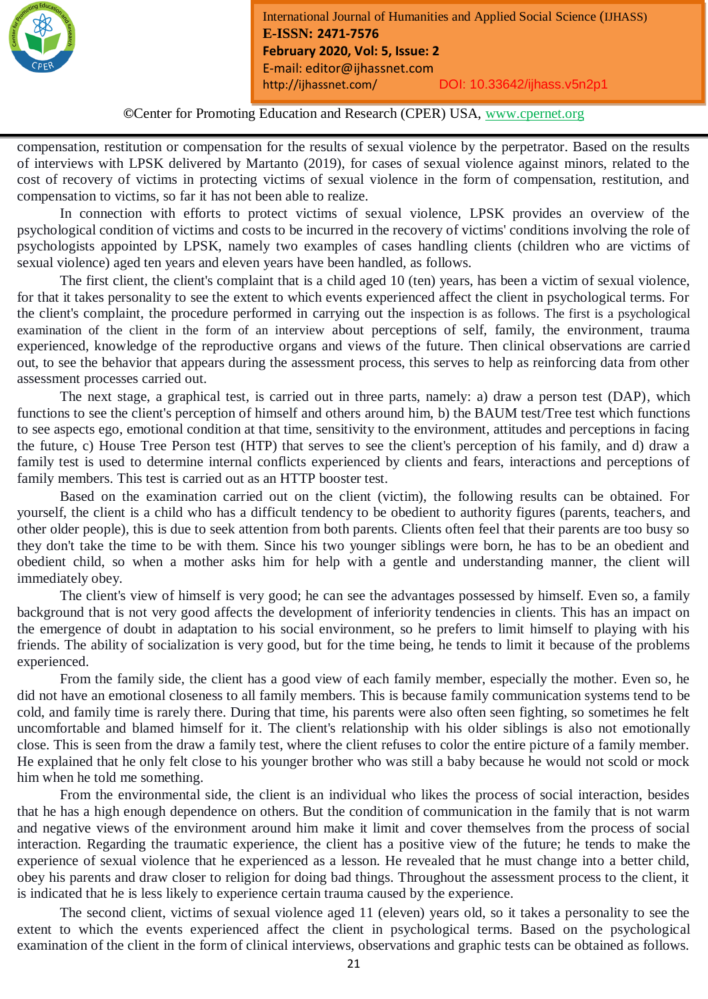

*Month Year: January2019*

compensation, restitution or compensation for the results of sexual violence by the perpetrator. Based on the results of interviews with LPSK delivered by Martanto (2019), for cases of sexual violence against minors, related to the cost of recovery of victims in protecting victims of sexual violence in the form of compensation, restitution, and compensation to victims, so far it has not been able to realize.

In connection with efforts to protect victims of sexual violence, LPSK provides an overview of the psychological condition of victims and costs to be incurred in the recovery of victims' conditions involving the role of psychologists appointed by LPSK, namely two examples of cases handling clients (children who are victims of sexual violence) aged ten years and eleven years have been handled, as follows.

The first client, the client's complaint that is a child aged 10 (ten) years, has been a victim of sexual violence, for that it takes personality to see the extent to which events experienced affect the client in psychological terms. For the client's complaint, the procedure performed in carrying out the inspection is as follows. The first is a psychological examination of the client in the form of an interview about perceptions of self, family, the environment, trauma experienced, knowledge of the reproductive organs and views of the future. Then clinical observations are carried out, to see the behavior that appears during the assessment process, this serves to help as reinforcing data from other assessment processes carried out.

The next stage, a graphical test, is carried out in three parts, namely: a) draw a person test (DAP), which functions to see the client's perception of himself and others around him, b) the BAUM test/Tree test which functions to see aspects ego, emotional condition at that time, sensitivity to the environment, attitudes and perceptions in facing the future, c) House Tree Person test (HTP) that serves to see the client's perception of his family, and d) draw a family test is used to determine internal conflicts experienced by clients and fears, interactions and perceptions of family members. This test is carried out as an HTTP booster test.

Based on the examination carried out on the client (victim), the following results can be obtained. For yourself, the client is a child who has a difficult tendency to be obedient to authority figures (parents, teachers, and other older people), this is due to seek attention from both parents. Clients often feel that their parents are too busy so they don't take the time to be with them. Since his two younger siblings were born, he has to be an obedient and obedient child, so when a mother asks him for help with a gentle and understanding manner, the client will immediately obey.

The client's view of himself is very good; he can see the advantages possessed by himself. Even so, a family background that is not very good affects the development of inferiority tendencies in clients. This has an impact on the emergence of doubt in adaptation to his social environment, so he prefers to limit himself to playing with his friends. The ability of socialization is very good, but for the time being, he tends to limit it because of the problems experienced.

From the family side, the client has a good view of each family member, especially the mother. Even so, he did not have an emotional closeness to all family members. This is because family communication systems tend to be cold, and family time is rarely there. During that time, his parents were also often seen fighting, so sometimes he felt uncomfortable and blamed himself for it. The client's relationship with his older siblings is also not emotionally close. This is seen from the draw a family test, where the client refuses to color the entire picture of a family member. He explained that he only felt close to his younger brother who was still a baby because he would not scold or mock him when he told me something.

From the environmental side, the client is an individual who likes the process of social interaction, besides that he has a high enough dependence on others. But the condition of communication in the family that is not warm and negative views of the environment around him make it limit and cover themselves from the process of social interaction. Regarding the traumatic experience, the client has a positive view of the future; he tends to make the experience of sexual violence that he experienced as a lesson. He revealed that he must change into a better child, obey his parents and draw closer to religion for doing bad things. Throughout the assessment process to the client, it is indicated that he is less likely to experience certain trauma caused by the experience.

The second client, victims of sexual violence aged 11 (eleven) years old, so it takes a personality to see the extent to which the events experienced affect the client in psychological terms. Based on the psychological examination of the client in the form of clinical interviews, observations and graphic tests can be obtained as follows.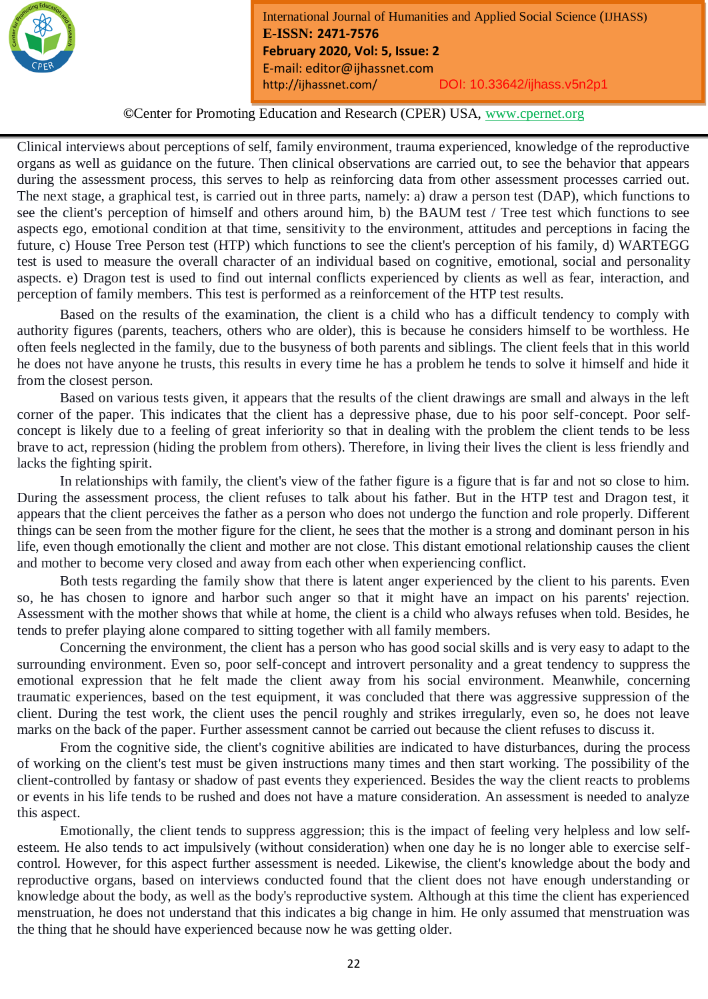

**©**Center for Promoting Education and Research (CPER) USA, www.cpernet.org

*Month Year: January2019*

Clinical interviews about perceptions of self, family environment, trauma experienced, knowledge of the reproductive organs as well as guidance on the future. Then clinical observations are carried out, to see the behavior that appears during the assessment process, this serves to help as reinforcing data from other assessment processes carried out. The next stage, a graphical test, is carried out in three parts, namely: a) draw a person test (DAP), which functions to see the client's perception of himself and others around him, b) the BAUM test / Tree test which functions to see aspects ego, emotional condition at that time, sensitivity to the environment, attitudes and perceptions in facing the future, c) House Tree Person test (HTP) which functions to see the client's perception of his family, d) WARTEGG test is used to measure the overall character of an individual based on cognitive, emotional, social and personality aspects. e) Dragon test is used to find out internal conflicts experienced by clients as well as fear, interaction, and perception of family members. This test is performed as a reinforcement of the HTP test results.

Based on the results of the examination, the client is a child who has a difficult tendency to comply with authority figures (parents, teachers, others who are older), this is because he considers himself to be worthless. He often feels neglected in the family, due to the busyness of both parents and siblings. The client feels that in this world he does not have anyone he trusts, this results in every time he has a problem he tends to solve it himself and hide it from the closest person.

Based on various tests given, it appears that the results of the client drawings are small and always in the left corner of the paper. This indicates that the client has a depressive phase, due to his poor self-concept. Poor selfconcept is likely due to a feeling of great inferiority so that in dealing with the problem the client tends to be less brave to act, repression (hiding the problem from others). Therefore, in living their lives the client is less friendly and lacks the fighting spirit.

In relationships with family, the client's view of the father figure is a figure that is far and not so close to him. During the assessment process, the client refuses to talk about his father. But in the HTP test and Dragon test, it appears that the client perceives the father as a person who does not undergo the function and role properly. Different things can be seen from the mother figure for the client, he sees that the mother is a strong and dominant person in his life, even though emotionally the client and mother are not close. This distant emotional relationship causes the client and mother to become very closed and away from each other when experiencing conflict.

Both tests regarding the family show that there is latent anger experienced by the client to his parents. Even so, he has chosen to ignore and harbor such anger so that it might have an impact on his parents' rejection. Assessment with the mother shows that while at home, the client is a child who always refuses when told. Besides, he tends to prefer playing alone compared to sitting together with all family members.

Concerning the environment, the client has a person who has good social skills and is very easy to adapt to the surrounding environment. Even so, poor self-concept and introvert personality and a great tendency to suppress the emotional expression that he felt made the client away from his social environment. Meanwhile, concerning traumatic experiences, based on the test equipment, it was concluded that there was aggressive suppression of the client. During the test work, the client uses the pencil roughly and strikes irregularly, even so, he does not leave marks on the back of the paper. Further assessment cannot be carried out because the client refuses to discuss it.

From the cognitive side, the client's cognitive abilities are indicated to have disturbances, during the process of working on the client's test must be given instructions many times and then start working. The possibility of the client-controlled by fantasy or shadow of past events they experienced. Besides the way the client reacts to problems or events in his life tends to be rushed and does not have a mature consideration. An assessment is needed to analyze this aspect.

Emotionally, the client tends to suppress aggression; this is the impact of feeling very helpless and low selfesteem. He also tends to act impulsively (without consideration) when one day he is no longer able to exercise selfcontrol. However, for this aspect further assessment is needed. Likewise, the client's knowledge about the body and reproductive organs, based on interviews conducted found that the client does not have enough understanding or knowledge about the body, as well as the body's reproductive system. Although at this time the client has experienced menstruation, he does not understand that this indicates a big change in him. He only assumed that menstruation was the thing that he should have experienced because now he was getting older.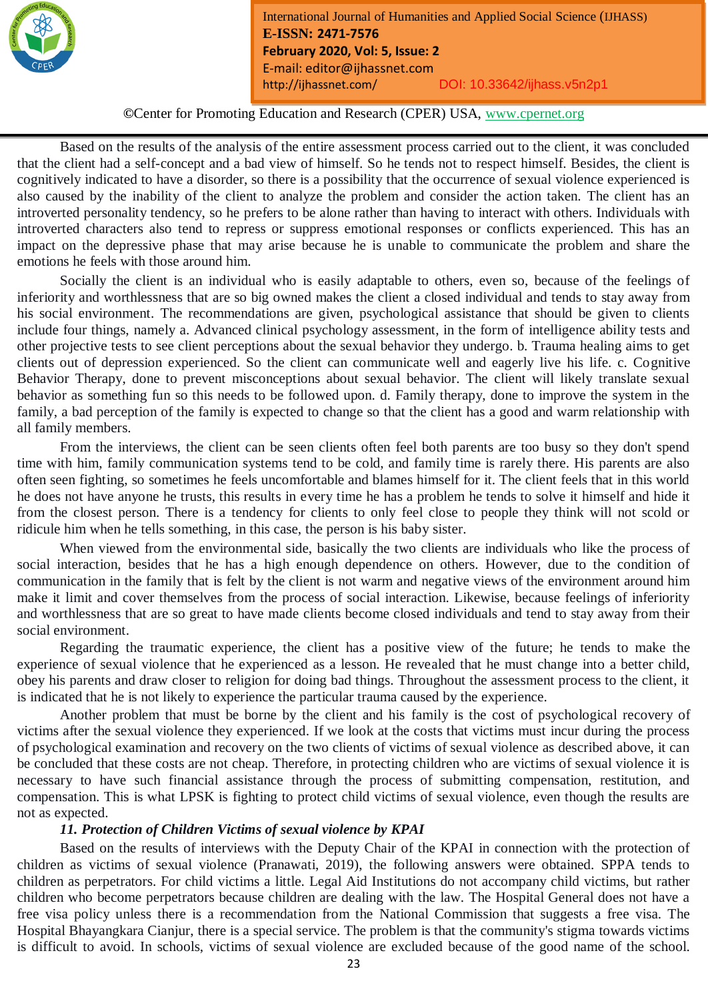

**©**Center for Promoting Education and Research (CPER) USA, www.cpernet.org

*Month Year: January2019*

Based on the results of the analysis of the entire assessment process carried out to the client, it was concluded that the client had a self-concept and a bad view of himself. So he tends not to respect himself. Besides, the client is cognitively indicated to have a disorder, so there is a possibility that the occurrence of sexual violence experienced is also caused by the inability of the client to analyze the problem and consider the action taken. The client has an introverted personality tendency, so he prefers to be alone rather than having to interact with others. Individuals with introverted characters also tend to repress or suppress emotional responses or conflicts experienced. This has an impact on the depressive phase that may arise because he is unable to communicate the problem and share the emotions he feels with those around him.

Socially the client is an individual who is easily adaptable to others, even so, because of the feelings of inferiority and worthlessness that are so big owned makes the client a closed individual and tends to stay away from his social environment. The recommendations are given, psychological assistance that should be given to clients include four things, namely a. Advanced clinical psychology assessment, in the form of intelligence ability tests and other projective tests to see client perceptions about the sexual behavior they undergo. b. Trauma healing aims to get clients out of depression experienced. So the client can communicate well and eagerly live his life. c. Cognitive Behavior Therapy, done to prevent misconceptions about sexual behavior. The client will likely translate sexual behavior as something fun so this needs to be followed upon. d. Family therapy, done to improve the system in the family, a bad perception of the family is expected to change so that the client has a good and warm relationship with all family members.

From the interviews, the client can be seen clients often feel both parents are too busy so they don't spend time with him, family communication systems tend to be cold, and family time is rarely there. His parents are also often seen fighting, so sometimes he feels uncomfortable and blames himself for it. The client feels that in this world he does not have anyone he trusts, this results in every time he has a problem he tends to solve it himself and hide it from the closest person. There is a tendency for clients to only feel close to people they think will not scold or ridicule him when he tells something, in this case, the person is his baby sister.

When viewed from the environmental side, basically the two clients are individuals who like the process of social interaction, besides that he has a high enough dependence on others. However, due to the condition of communication in the family that is felt by the client is not warm and negative views of the environment around him make it limit and cover themselves from the process of social interaction. Likewise, because feelings of inferiority and worthlessness that are so great to have made clients become closed individuals and tend to stay away from their social environment.

Regarding the traumatic experience, the client has a positive view of the future; he tends to make the experience of sexual violence that he experienced as a lesson. He revealed that he must change into a better child, obey his parents and draw closer to religion for doing bad things. Throughout the assessment process to the client, it is indicated that he is not likely to experience the particular trauma caused by the experience.

Another problem that must be borne by the client and his family is the cost of psychological recovery of victims after the sexual violence they experienced. If we look at the costs that victims must incur during the process of psychological examination and recovery on the two clients of victims of sexual violence as described above, it can be concluded that these costs are not cheap. Therefore, in protecting children who are victims of sexual violence it is necessary to have such financial assistance through the process of submitting compensation, restitution, and compensation. This is what LPSK is fighting to protect child victims of sexual violence, even though the results are not as expected.

#### *11. Protection of Children Victims of sexual violence by KPAI*

Based on the results of interviews with the Deputy Chair of the KPAI in connection with the protection of children as victims of sexual violence (Pranawati, 2019), the following answers were obtained. SPPA tends to children as perpetrators. For child victims a little. Legal Aid Institutions do not accompany child victims, but rather children who become perpetrators because children are dealing with the law. The Hospital General does not have a free visa policy unless there is a recommendation from the National Commission that suggests a free visa. The Hospital Bhayangkara Cianjur, there is a special service. The problem is that the community's stigma towards victims is difficult to avoid. In schools, victims of sexual violence are excluded because of the good name of the school.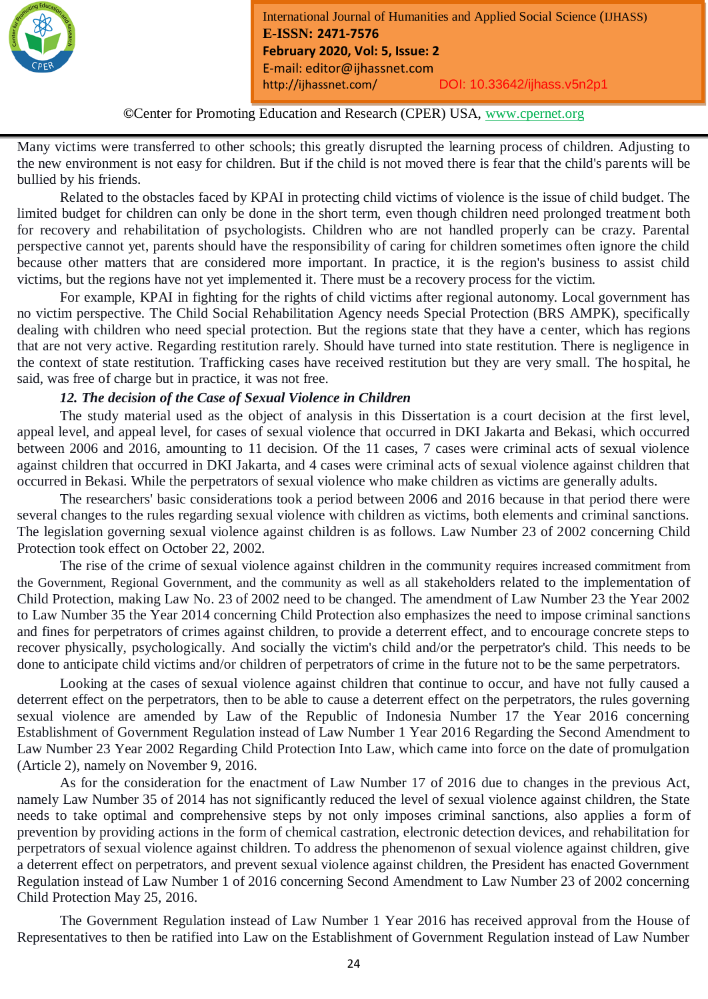

**©**Center for Promoting Education and Research (CPER) USA, www.cpernet.org

*Month Year: January2019*

Many victims were transferred to other schools; this greatly disrupted the learning process of children. Adjusting to the new environment is not easy for children. But if the child is not moved there is fear that the child's parents will be bullied by his friends.

Related to the obstacles faced by KPAI in protecting child victims of violence is the issue of child budget. The limited budget for children can only be done in the short term, even though children need prolonged treatment both for recovery and rehabilitation of psychologists. Children who are not handled properly can be crazy. Parental perspective cannot yet, parents should have the responsibility of caring for children sometimes often ignore the child because other matters that are considered more important. In practice, it is the region's business to assist child victims, but the regions have not yet implemented it. There must be a recovery process for the victim.

For example, KPAI in fighting for the rights of child victims after regional autonomy. Local government has no victim perspective. The Child Social Rehabilitation Agency needs Special Protection (BRS AMPK), specifically dealing with children who need special protection. But the regions state that they have a center, which has regions that are not very active. Regarding restitution rarely. Should have turned into state restitution. There is negligence in the context of state restitution. Trafficking cases have received restitution but they are very small. The hospital, he said, was free of charge but in practice, it was not free.

# *12. The decision of the Case of Sexual Violence in Children*

The study material used as the object of analysis in this Dissertation is a court decision at the first level, appeal level, and appeal level, for cases of sexual violence that occurred in DKI Jakarta and Bekasi, which occurred between 2006 and 2016, amounting to 11 decision. Of the 11 cases, 7 cases were criminal acts of sexual violence against children that occurred in DKI Jakarta, and 4 cases were criminal acts of sexual violence against children that occurred in Bekasi. While the perpetrators of sexual violence who make children as victims are generally adults.

The researchers' basic considerations took a period between 2006 and 2016 because in that period there were several changes to the rules regarding sexual violence with children as victims, both elements and criminal sanctions. The legislation governing sexual violence against children is as follows. Law Number 23 of 2002 concerning Child Protection took effect on October 22, 2002.

The rise of the crime of sexual violence against children in the community requires increased commitment from the Government, Regional Government, and the community as well as all stakeholders related to the implementation of Child Protection, making Law No. 23 of 2002 need to be changed. The amendment of Law Number 23 the Year 2002 to Law Number 35 the Year 2014 concerning Child Protection also emphasizes the need to impose criminal sanctions and fines for perpetrators of crimes against children, to provide a deterrent effect, and to encourage concrete steps to recover physically, psychologically. And socially the victim's child and/or the perpetrator's child. This needs to be done to anticipate child victims and/or children of perpetrators of crime in the future not to be the same perpetrators.

Looking at the cases of sexual violence against children that continue to occur, and have not fully caused a deterrent effect on the perpetrators, then to be able to cause a deterrent effect on the perpetrators, the rules governing sexual violence are amended by Law of the Republic of Indonesia Number 17 the Year 2016 concerning Establishment of Government Regulation instead of Law Number 1 Year 2016 Regarding the Second Amendment to Law Number 23 Year 2002 Regarding Child Protection Into Law, which came into force on the date of promulgation (Article 2), namely on November 9, 2016.

As for the consideration for the enactment of Law Number 17 of 2016 due to changes in the previous Act, namely Law Number 35 of 2014 has not significantly reduced the level of sexual violence against children, the State needs to take optimal and comprehensive steps by not only imposes criminal sanctions, also applies a form of prevention by providing actions in the form of chemical castration, electronic detection devices, and rehabilitation for perpetrators of sexual violence against children. To address the phenomenon of sexual violence against children, give a deterrent effect on perpetrators, and prevent sexual violence against children, the President has enacted Government Regulation instead of Law Number 1 of 2016 concerning Second Amendment to Law Number 23 of 2002 concerning Child Protection May 25, 2016.

The Government Regulation instead of Law Number 1 Year 2016 has received approval from the House of Representatives to then be ratified into Law on the Establishment of Government Regulation instead of Law Number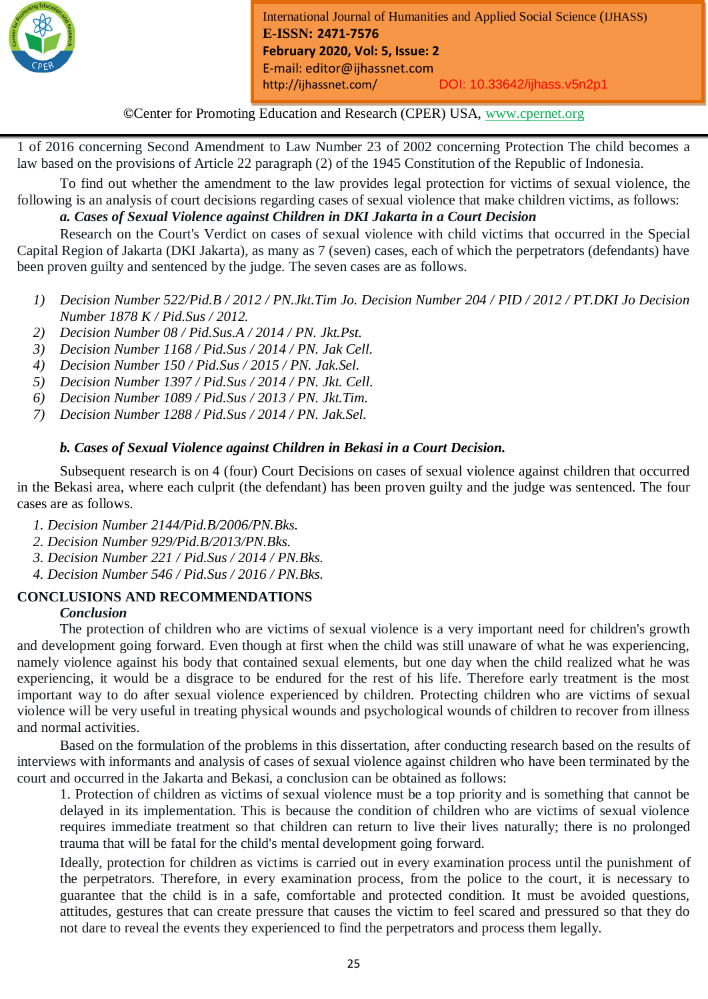

*Month Year: January2019*

1 of 2016 concerning Second Amendment to Law Number 23 of 2002 concerning Protection The child becomes a law based on the provisions of Article 22 paragraph (2) of the 1945 Constitution of the Republic of Indonesia.

To find out whether the amendment to the law provides legal protection for victims of sexual violence, the following is an analysis of court decisions regarding cases of sexual violence that make children victims, as follows:

# *a. Cases of Sexual Violence against Children in DKI Jakarta in a Court Decision*

Research on the Court's Verdict on cases of sexual violence with child victims that occurred in the Special Capital Region of Jakarta (DKI Jakarta), as many as 7 (seven) cases, each of which the perpetrators (defendants) have been proven guilty and sentenced by the judge. The seven cases are as follows.

- *1) Decision Number 522/Pid.B / 2012 / PN.Jkt.Tim Jo. Decision Number 204 / PID / 2012 / PT.DKI Jo Decision Number 1878 K / Pid.Sus / 2012.*
- *2) Decision Number 08 / Pid.Sus.A / 2014 / PN. Jkt.Pst.*
- *3) Decision Number 1168 / Pid.Sus / 2014 / PN. Jak Cell.*
- *4) Decision Number 150 / Pid.Sus / 2015 / PN. Jak.Sel.*
- *5) Decision Number 1397 / Pid.Sus / 2014 / PN. Jkt. Cell.*
- *6) Decision Number 1089 / Pid.Sus / 2013 / PN. Jkt.Tim.*
- *7) Decision Number 1288 / Pid.Sus / 2014 / PN. Jak.Sel.*

#### *b. Cases of Sexual Violence against Children in Bekasi in a Court Decision.*

Subsequent research is on 4 (four) Court Decisions on cases of sexual violence against children that occurred in the Bekasi area, where each culprit (the defendant) has been proven guilty and the judge was sentenced. The four cases are as follows.

- *1. Decision Number 2144/Pid.B/2006/PN.Bks.*
- *2. Decision Number 929/Pid.B/2013/PN.Bks.*
- *3. Decision Number 221 / Pid.Sus / 2014 / PN.Bks.*
- *4. Decision Number 546 / Pid.Sus / 2016 / PN.Bks.*

#### **CONCLUSIONS AND RECOMMENDATIONS** *Conclusion*

The protection of children who are victims of sexual violence is a very important need for children's growth and development going forward. Even though at first when the child was still unaware of what he was experiencing, namely violence against his body that contained sexual elements, but one day when the child realized what he was experiencing, it would be a disgrace to be endured for the rest of his life. Therefore early treatment is the most important way to do after sexual violence experienced by children. Protecting children who are victims of sexual violence will be very useful in treating physical wounds and psychological wounds of children to recover from illness and normal activities.

Based on the formulation of the problems in this dissertation, after conducting research based on the results of interviews with informants and analysis of cases of sexual violence against children who have been terminated by the court and occurred in the Jakarta and Bekasi, a conclusion can be obtained as follows:

1. Protection of children as victims of sexual violence must be a top priority and is something that cannot be delayed in its implementation. This is because the condition of children who are victims of sexual violence requires immediate treatment so that children can return to live their lives naturally; there is no prolonged trauma that will be fatal for the child's mental development going forward.

Ideally, protection for children as victims is carried out in every examination process until the punishment of the perpetrators. Therefore, in every examination process, from the police to the court, it is necessary to guarantee that the child is in a safe, comfortable and protected condition. It must be avoided questions, attitudes, gestures that can create pressure that causes the victim to feel scared and pressured so that they do not dare to reveal the events they experienced to find the perpetrators and process them legally.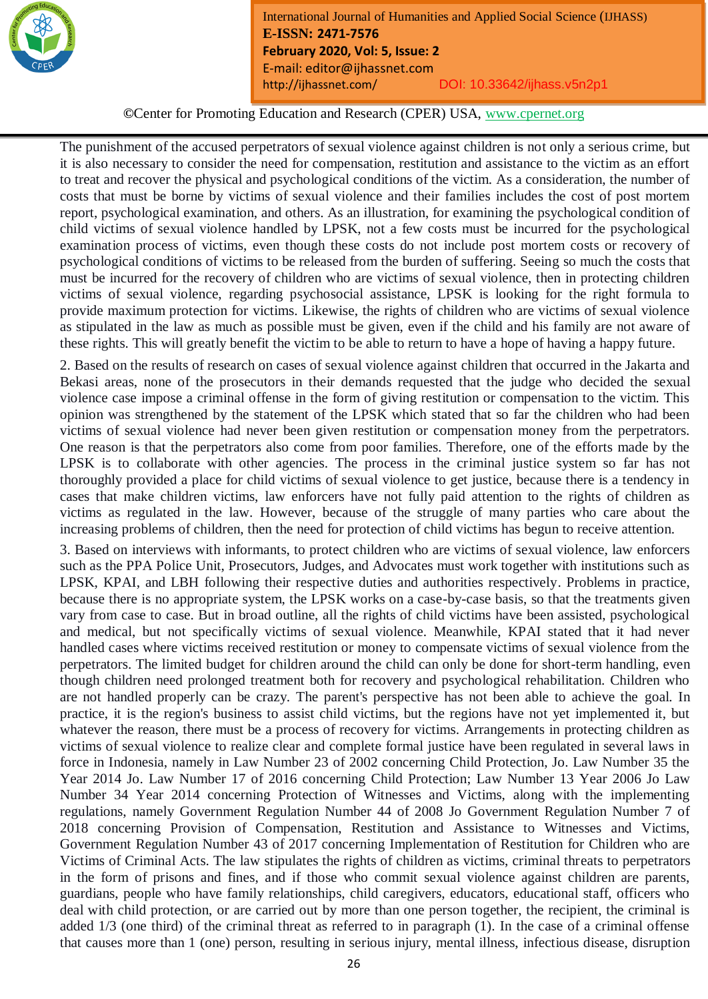

**©**Center for Promoting Education and Research (CPER) USA, www.cpernet.org

*Month Year: January2019*

The punishment of the accused perpetrators of sexual violence against children is not only a serious crime, but it is also necessary to consider the need for compensation, restitution and assistance to the victim as an effort to treat and recover the physical and psychological conditions of the victim. As a consideration, the number of costs that must be borne by victims of sexual violence and their families includes the cost of post mortem report, psychological examination, and others. As an illustration, for examining the psychological condition of child victims of sexual violence handled by LPSK, not a few costs must be incurred for the psychological examination process of victims, even though these costs do not include post mortem costs or recovery of psychological conditions of victims to be released from the burden of suffering. Seeing so much the costs that must be incurred for the recovery of children who are victims of sexual violence, then in protecting children victims of sexual violence, regarding psychosocial assistance, LPSK is looking for the right formula to provide maximum protection for victims. Likewise, the rights of children who are victims of sexual violence as stipulated in the law as much as possible must be given, even if the child and his family are not aware of these rights. This will greatly benefit the victim to be able to return to have a hope of having a happy future.

2. Based on the results of research on cases of sexual violence against children that occurred in the Jakarta and Bekasi areas, none of the prosecutors in their demands requested that the judge who decided the sexual violence case impose a criminal offense in the form of giving restitution or compensation to the victim. This opinion was strengthened by the statement of the LPSK which stated that so far the children who had been victims of sexual violence had never been given restitution or compensation money from the perpetrators. One reason is that the perpetrators also come from poor families. Therefore, one of the efforts made by the LPSK is to collaborate with other agencies. The process in the criminal justice system so far has not thoroughly provided a place for child victims of sexual violence to get justice, because there is a tendency in cases that make children victims, law enforcers have not fully paid attention to the rights of children as victims as regulated in the law. However, because of the struggle of many parties who care about the increasing problems of children, then the need for protection of child victims has begun to receive attention.

3. Based on interviews with informants, to protect children who are victims of sexual violence, law enforcers such as the PPA Police Unit, Prosecutors, Judges, and Advocates must work together with institutions such as LPSK, KPAI, and LBH following their respective duties and authorities respectively. Problems in practice, because there is no appropriate system, the LPSK works on a case-by-case basis, so that the treatments given vary from case to case. But in broad outline, all the rights of child victims have been assisted, psychological and medical, but not specifically victims of sexual violence. Meanwhile, KPAI stated that it had never handled cases where victims received restitution or money to compensate victims of sexual violence from the perpetrators. The limited budget for children around the child can only be done for short-term handling, even though children need prolonged treatment both for recovery and psychological rehabilitation. Children who are not handled properly can be crazy. The parent's perspective has not been able to achieve the goal. In practice, it is the region's business to assist child victims, but the regions have not yet implemented it, but whatever the reason, there must be a process of recovery for victims. Arrangements in protecting children as victims of sexual violence to realize clear and complete formal justice have been regulated in several laws in force in Indonesia, namely in Law Number 23 of 2002 concerning Child Protection, Jo. Law Number 35 the Year 2014 Jo. Law Number 17 of 2016 concerning Child Protection; Law Number 13 Year 2006 Jo Law Number 34 Year 2014 concerning Protection of Witnesses and Victims, along with the implementing regulations, namely Government Regulation Number 44 of 2008 Jo Government Regulation Number 7 of 2018 concerning Provision of Compensation, Restitution and Assistance to Witnesses and Victims, Government Regulation Number 43 of 2017 concerning Implementation of Restitution for Children who are Victims of Criminal Acts. The law stipulates the rights of children as victims, criminal threats to perpetrators in the form of prisons and fines, and if those who commit sexual violence against children are parents, guardians, people who have family relationships, child caregivers, educators, educational staff, officers who deal with child protection, or are carried out by more than one person together, the recipient, the criminal is added 1/3 (one third) of the criminal threat as referred to in paragraph (1). In the case of a criminal offense that causes more than 1 (one) person, resulting in serious injury, mental illness, infectious disease, disruption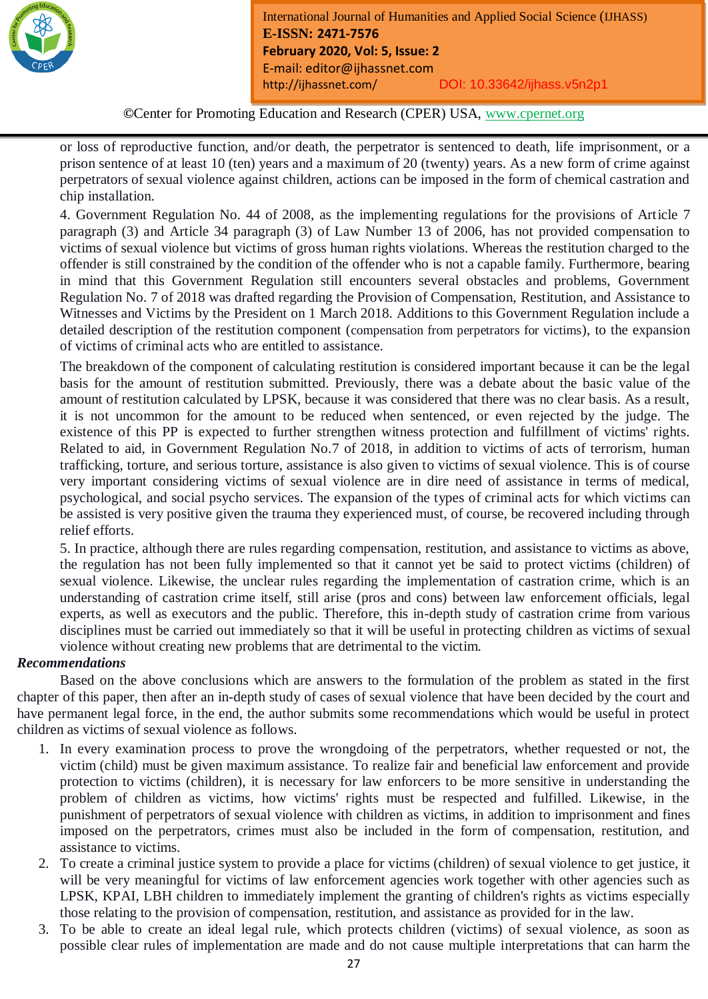

*Month Year: January2019*

or loss of reproductive function, and/or death, the perpetrator is sentenced to death, life imprisonment, or a prison sentence of at least 10 (ten) years and a maximum of 20 (twenty) years. As a new form of crime against perpetrators of sexual violence against children, actions can be imposed in the form of chemical castration and chip installation.

4. Government Regulation No. 44 of 2008, as the implementing regulations for the provisions of Article 7 paragraph (3) and Article 34 paragraph (3) of Law Number 13 of 2006, has not provided compensation to victims of sexual violence but victims of gross human rights violations. Whereas the restitution charged to the offender is still constrained by the condition of the offender who is not a capable family. Furthermore, bearing in mind that this Government Regulation still encounters several obstacles and problems, Government Regulation No. 7 of 2018 was drafted regarding the Provision of Compensation, Restitution, and Assistance to Witnesses and Victims by the President on 1 March 2018. Additions to this Government Regulation include a detailed description of the restitution component (compensation from perpetrators for victims), to the expansion of victims of criminal acts who are entitled to assistance.

The breakdown of the component of calculating restitution is considered important because it can be the legal basis for the amount of restitution submitted. Previously, there was a debate about the basic value of the amount of restitution calculated by LPSK, because it was considered that there was no clear basis. As a result, it is not uncommon for the amount to be reduced when sentenced, or even rejected by the judge. The existence of this PP is expected to further strengthen witness protection and fulfillment of victims' rights. Related to aid, in Government Regulation No.7 of 2018, in addition to victims of acts of terrorism, human trafficking, torture, and serious torture, assistance is also given to victims of sexual violence. This is of course very important considering victims of sexual violence are in dire need of assistance in terms of medical, psychological, and social psycho services. The expansion of the types of criminal acts for which victims can be assisted is very positive given the trauma they experienced must, of course, be recovered including through relief efforts.

5. In practice, although there are rules regarding compensation, restitution, and assistance to victims as above, the regulation has not been fully implemented so that it cannot yet be said to protect victims (children) of sexual violence. Likewise, the unclear rules regarding the implementation of castration crime, which is an understanding of castration crime itself, still arise (pros and cons) between law enforcement officials, legal experts, as well as executors and the public. Therefore, this in-depth study of castration crime from various disciplines must be carried out immediately so that it will be useful in protecting children as victims of sexual violence without creating new problems that are detrimental to the victim.

# *Recommendations*

Based on the above conclusions which are answers to the formulation of the problem as stated in the first chapter of this paper, then after an in-depth study of cases of sexual violence that have been decided by the court and have permanent legal force, in the end, the author submits some recommendations which would be useful in protect children as victims of sexual violence as follows.

- 1. In every examination process to prove the wrongdoing of the perpetrators, whether requested or not, the victim (child) must be given maximum assistance. To realize fair and beneficial law enforcement and provide protection to victims (children), it is necessary for law enforcers to be more sensitive in understanding the problem of children as victims, how victims' rights must be respected and fulfilled. Likewise, in the punishment of perpetrators of sexual violence with children as victims, in addition to imprisonment and fines imposed on the perpetrators, crimes must also be included in the form of compensation, restitution, and assistance to victims.
- 2. To create a criminal justice system to provide a place for victims (children) of sexual violence to get justice, it will be very meaningful for victims of law enforcement agencies work together with other agencies such as LPSK, KPAI, LBH children to immediately implement the granting of children's rights as victims especially those relating to the provision of compensation, restitution, and assistance as provided for in the law.
- 3. To be able to create an ideal legal rule, which protects children (victims) of sexual violence, as soon as possible clear rules of implementation are made and do not cause multiple interpretations that can harm the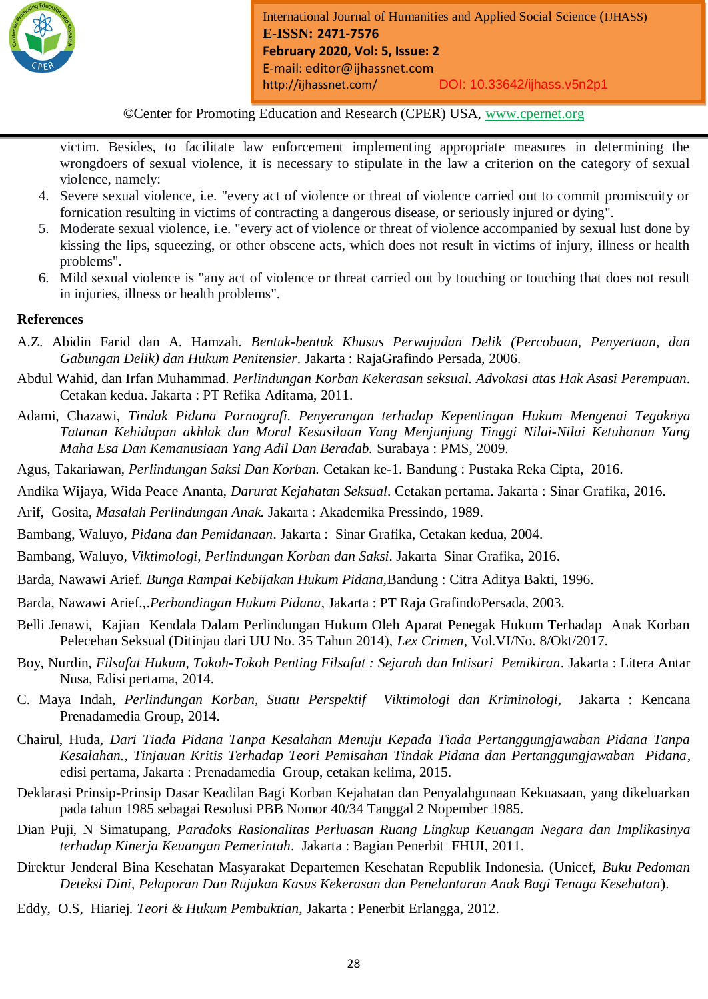

*Month Year: January2019*

victim. Besides, to facilitate law enforcement implementing appropriate measures in determining the wrongdoers of sexual violence, it is necessary to stipulate in the law a criterion on the category of sexual violence, namely:

- 4. Severe sexual violence, i.e. "every act of violence or threat of violence carried out to commit promiscuity or fornication resulting in victims of contracting a dangerous disease, or seriously injured or dying".
- 5. Moderate sexual violence, i.e. "every act of violence or threat of violence accompanied by sexual lust done by kissing the lips, squeezing, or other obscene acts, which does not result in victims of injury, illness or health problems".
- 6. Mild sexual violence is "any act of violence or threat carried out by touching or touching that does not result in injuries, illness or health problems".

# **References**

- A.Z. Abidin Farid dan A. Hamzah. *Bentuk-bentuk Khusus Perwujudan Delik (Percobaan, Penyertaan, dan Gabungan Delik) dan Hukum Penitensier*. Jakarta : RajaGrafindo Persada, 2006.
- Abdul Wahid, dan Irfan Muhammad. *Perlindungan Korban Kekerasan seksual. Advokasi atas Hak Asasi Perempuan*. Cetakan kedua. Jakarta : PT Refika Aditama, 2011.
- Adami, Chazawi, *Tindak Pidana Pornografi. Penyerangan terhadap Kepentingan Hukum Mengenai Tegaknya Tatanan Kehidupan akhlak dan Moral Kesusilaan Yang Menjunjung Tinggi Nilai-Nilai Ketuhanan Yang Maha Esa Dan Kemanusiaan Yang Adil Dan Beradab.* Surabaya : PMS, 2009.
- Agus, Takariawan, *Perlindungan Saksi Dan Korban.* Cetakan ke-1. Bandung : Pustaka Reka Cipta, 2016.
- Andika Wijaya, Wida Peace Ananta, *Darurat Kejahatan Seksual*. Cetakan pertama. Jakarta : Sinar Grafika, 2016.
- Arif, Gosita, *Masalah Perlindungan Anak.* Jakarta : Akademika Pressindo, 1989.
- Bambang, Waluyo, *Pidana dan Pemidanaan*. Jakarta : Sinar Grafika, Cetakan kedua, 2004.
- Bambang, Waluyo*, Viktimologi, Perlindungan Korban dan Saksi*. Jakarta Sinar Grafika, 2016.
- Barda, Nawawi Arief. *Bunga Rampai Kebijakan Hukum Pidana,*Bandung : Citra Aditya Bakti, 1996.
- Barda, Nawawi Arief.,.*Perbandingan Hukum Pidana*, Jakarta : PT Raja GrafindoPersada, 2003.
- Belli Jenawi, Kajian Kendala Dalam Perlindungan Hukum Oleh Aparat Penegak Hukum Terhadap Anak Korban Pelecehan Seksual (Ditinjau dari UU No. 35 Tahun 2014), *Lex Crimen*, Vol.VI/No. 8/Okt/2017.
- Boy, Nurdin, *Filsafat Hukum*, *Tokoh-Tokoh Penting Filsafat : Sejarah dan Intisari Pemikiran*. Jakarta : Litera Antar Nusa, Edisi pertama, 2014.
- C. Maya Indah, *Perlindungan Korban, Suatu Perspektif Viktimologi dan Kriminologi*, Jakarta : Kencana Prenadamedia Group, 2014.
- Chairul, Huda, *Dari Tiada Pidana Tanpa Kesalahan Menuju Kepada Tiada Pertanggungjawaban Pidana Tanpa Kesalahan., Tinjauan Kritis Terhadap Teori Pemisahan Tindak Pidana dan Pertanggungjawaban Pidana*, edisi pertama, Jakarta : Prenadamedia Group, cetakan kelima, 2015.
- Deklarasi Prinsip-Prinsip Dasar Keadilan Bagi Korban Kejahatan dan Penyalahgunaan Kekuasaan, yang dikeluarkan pada tahun 1985 sebagai Resolusi PBB Nomor 40/34 Tanggal 2 Nopember 1985.
- Dian Puji, N Simatupang, *Paradoks Rasionalitas Perluasan Ruang Lingkup Keuangan Negara dan Implikasinya terhadap Kinerja Keuangan Pemerintah*. Jakarta : Bagian Penerbit FHUI, 2011.
- Direktur Jenderal Bina Kesehatan Masyarakat Departemen Kesehatan Republik Indonesia. (Unicef, *Buku Pedoman Deteksi Dini, Pelaporan Dan Rujukan Kasus Kekerasan dan Penelantaran Anak Bagi Tenaga Kesehatan*).
- Eddy, O.S, Hiariej. *Teori & Hukum Pembuktian*, Jakarta : Penerbit Erlangga, 2012.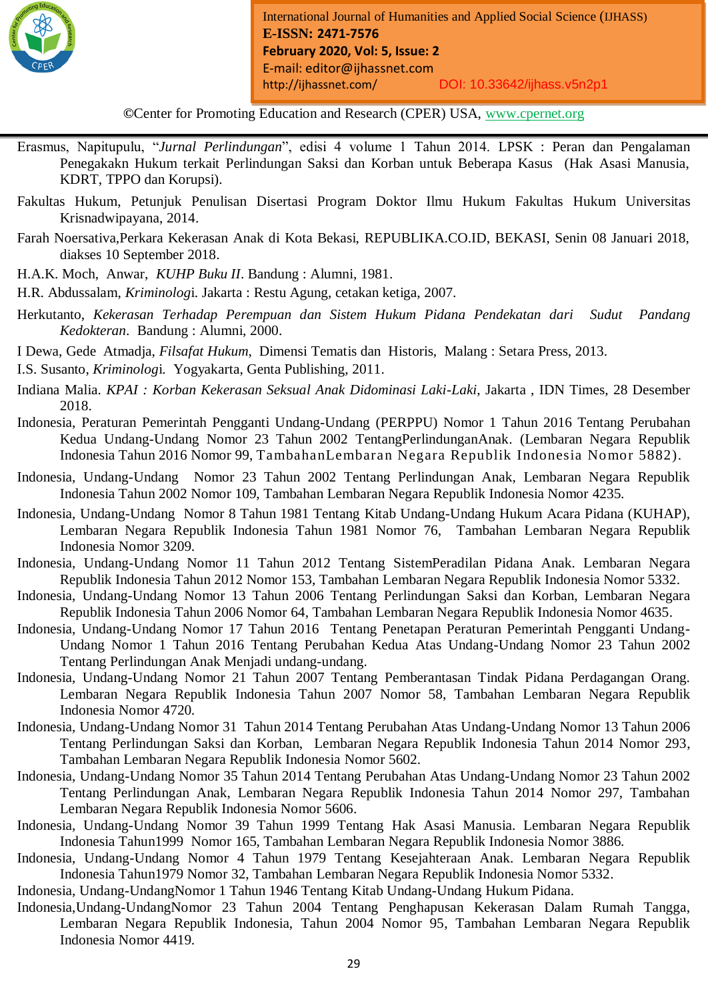

*Month Year: January2019*

- Erasmus, Napitupulu, "*Jurnal Perlindungan*", edisi 4 volume 1 Tahun 2014. LPSK : Peran dan Pengalaman Penegakakn Hukum terkait Perlindungan Saksi dan Korban untuk Beberapa Kasus (Hak Asasi Manusia, KDRT, TPPO dan Korupsi).
- Fakultas Hukum, Petunjuk Penulisan Disertasi Program Doktor Ilmu Hukum Fakultas Hukum Universitas Krisnadwipayana, 2014.
- Farah Noersativa,Perkara Kekerasan Anak di Kota Bekasi, REPUBLIKA.CO.ID, BEKASI, Senin 08 Januari 2018, diakses 10 September 2018.
- H.A.K. Moch, Anwar, *KUHP Buku II*. Bandung : Alumni, 1981.
- H.R. Abdussalam, *Kriminolog*i. Jakarta : Restu Agung, cetakan ketiga, 2007.
- Herkutanto, *Kekerasan Terhadap Perempuan dan Sistem Hukum Pidana Pendekatan dari Sudut Pandang Kedokteran*. Bandung : Alumni, 2000.
- I Dewa, Gede Atmadja, *Filsafat Hukum*, Dimensi Tematis dan Historis, Malang : Setara Press, 2013.
- I.S. Susanto, *Kriminolog*i. Yogyakarta, Genta Publishing, 2011.
- Indiana Malia. *KPAI : Korban Kekerasan Seksual Anak Didominasi Laki-Laki*, Jakarta , IDN Times, 28 Desember 2018.
- Indonesia, Peraturan Pemerintah Pengganti Undang-Undang (PERPPU) Nomor 1 Tahun 2016 Tentang Perubahan Kedua Undang-Undang Nomor 23 Tahun 2002 TentangPerlindunganAnak. (Lembaran Negara Republik Indonesia Tahun 2016 Nomor 99, TambahanLembaran Negara Republik Indonesia Nomor 5882).
- Indonesia, Undang-Undang Nomor 23 Tahun 2002 Tentang Perlindungan Anak, Lembaran Negara Republik Indonesia Tahun 2002 Nomor 109, Tambahan Lembaran Negara Republik Indonesia Nomor 4235.
- Indonesia, [Undang-Undang Nomor 8 Tahun 1981 Tentang](http://www.hukumonline.com/pusatdata/detail/2647/node/629) Kitab Undang-Undang Hukum Acara Pidana (KUHAP), Lembaran Negara Republik Indonesia Tahun 1981 Nomor 76, Tambahan Lembaran Negara Republik Indonesia Nomor 3209.
- Indonesia, Undang-Undang Nomor 11 Tahun 2012 Tentang SistemPeradilan Pidana Anak. Lembaran Negara Republik Indonesia Tahun 2012 Nomor 153, Tambahan Lembaran Negara Republik Indonesia Nomor 5332.
- Indonesia, Undang-Undang Nomor 13 Tahun 2006 Tentang Perlindungan Saksi dan Korban, Lembaran Negara Republik Indonesia Tahun 2006 Nomor 64, Tambahan Lembaran Negara Republik Indonesia Nomor 4635.
- Indonesia, Undang-Undang Nomor 17 Tahun 2016 Tentang Penetapan Peraturan Pemerintah Pengganti Undang-Undang Nomor 1 Tahun 2016 Tentang Perubahan Kedua Atas Undang-Undang Nomor 23 Tahun 2002 Tentang Perlindungan Anak Menjadi undang-undang.
- Indonesia, Undang-Undang Nomor 21 Tahun 2007 Tentang Pemberantasan Tindak Pidana Perdagangan Orang. Lembaran Negara Republik Indonesia Tahun 2007 Nomor 58, Tambahan Lembaran Negara Republik Indonesia Nomor 4720.
- Indonesia, Undang-Undang Nomor 31 Tahun 2014 Tentang Perubahan Atas Undang-Undang Nomor 13 Tahun 2006 Tentang Perlindungan Saksi dan Korban, Lembaran Negara Republik Indonesia Tahun 2014 Nomor 293, Tambahan Lembaran Negara Republik Indonesia Nomor 5602.
- Indonesia, Undang-Undang Nomor 35 Tahun 2014 Tentang Perubahan Atas Undang-Undang Nomor 23 Tahun 2002 Tentang Perlindungan Anak, Lembaran Negara Republik Indonesia Tahun 2014 Nomor 297, Tambahan Lembaran Negara Republik Indonesia Nomor 5606.
- Indonesia, Undang-Undang Nomor 39 Tahun 1999 Tentang Hak Asasi Manusia. Lembaran Negara Republik Indonesia Tahun1999 Nomor 165, Tambahan Lembaran Negara Republik Indonesia Nomor 3886.
- Indonesia, Undang-Undang Nomor 4 Tahun 1979 Tentang Kesejahteraan Anak. Lembaran Negara Republik Indonesia Tahun1979 Nomor 32, Tambahan Lembaran Negara Republik Indonesia Nomor 5332.
- Indonesia, Undang-UndangNomor 1 Tahun 1946 Tentang Kitab Undang-Undang Hukum Pidana.
- Indonesia,Undang-UndangNomor 23 Tahun 2004 Tentang Penghapusan Kekerasan Dalam Rumah Tangga, Lembaran Negara Republik Indonesia, Tahun 2004 Nomor 95, Tambahan Lembaran Negara Republik Indonesia Nomor 4419.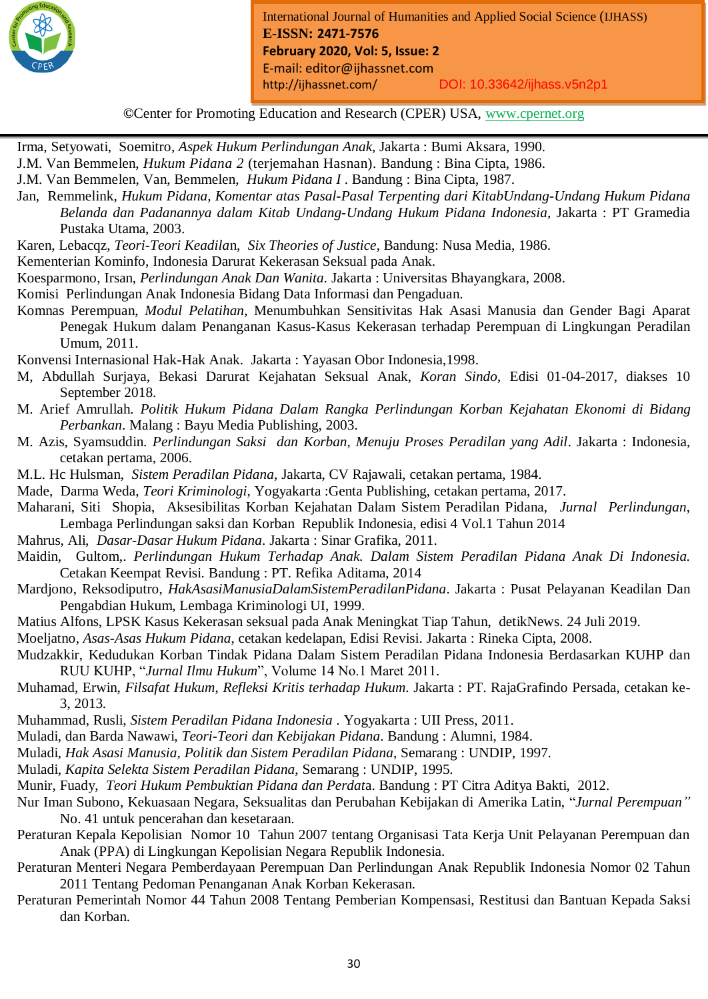

*Month Year: January2019*

Irma, Setyowati, Soemitro, *Aspek Hukum Perlindungan Anak,* Jakarta : Bumi Aksara, 1990.

J.M. Van Bemmelen, *Hukum Pidana 2* (terjemahan Hasnan). Bandung : Bina Cipta, 1986.

- J.M. Van Bemmelen, Van, Bemmelen, *Hukum Pidana I* . Bandung : Bina Cipta, 1987.
- Jan, Remmelink, *Hukum Pidana, Komentar atas Pasal-Pasal Terpenting dari KitabUndang-Undang Hukum Pidana Belanda dan Padanannya dalam Kitab Undang-Undang Hukum Pidana Indonesia*, Jakarta : PT Gramedia Pustaka Utama, 2003.
- Karen, Lebacqz, *Teori-Teori Keadila*n, *Six Theories of Justice*, Bandung: Nusa Media, 1986.
- Kementerian Kominfo, Indonesia Darurat Kekerasan Seksual pada Anak.
- Koesparmono, Irsan, *Perlindungan Anak Dan Wanita.* Jakarta : Universitas Bhayangkara, 2008.
- Komisi Perlindungan Anak Indonesia Bidang Data Informasi dan Pengaduan.
- Komnas Perempuan, *Modul Pelatihan*, Menumbuhkan Sensitivitas Hak Asasi Manusia dan Gender Bagi Aparat Penegak Hukum dalam Penanganan Kasus-Kasus Kekerasan terhadap Perempuan di Lingkungan Peradilan Umum, 2011.
- Konvensi Internasional Hak-Hak Anak. Jakarta : Yayasan Obor Indonesia,1998.
- M, Abdullah Surjaya, Bekasi Darurat Kejahatan Seksual Anak, *Koran Sindo*, Edisi 01-04-2017, diakses 10 September 2018.
- M. Arief Amrullah. *Politik Hukum Pidana Dalam Rangka Perlindungan Korban Kejahatan Ekonomi di Bidang Perbankan*. Malang : Bayu Media Publishing, 2003.
- M. Azis, Syamsuddin. *Perlindungan Saksi dan Korban, Menuju Proses Peradilan yang Adil*. Jakarta : Indonesia, cetakan pertama, 2006.
- M.L. Hc Hulsman, *Sistem Peradilan Pidana*, Jakarta, CV Rajawali, cetakan pertama, 1984.
- Made, Darma Weda, *Teori Kriminologi*, Yogyakarta :Genta Publishing, cetakan pertama, 2017.
- Maharani, Siti Shopia, Aksesibilitas Korban Kejahatan Dalam Sistem Peradilan Pidana, *Jurnal Perlindungan*, Lembaga Perlindungan saksi dan Korban Republik Indonesia, edisi 4 Vol.1 Tahun 2014
- Mahrus, Ali, *Dasar-Dasar Hukum Pidana*. Jakarta : Sinar Grafika, 2011.
- Maidin, Gultom,. *Perlindungan Hukum Terhadap Anak. Dalam Sistem Peradilan Pidana Anak Di Indonesia.* Cetakan Keempat Revisi. Bandung : PT. Refika Aditama, 2014
- Mardjono, Reksodiputro, *HakAsasiManusiaDalamSistemPeradilanPidana*. Jakarta : Pusat Pelayanan Keadilan Dan Pengabdian Hukum, Lembaga Kriminologi UI, 1999.
- Matius Alfons, LPSK Kasus Kekerasan seksual pada Anak Meningkat Tiap Tahun, detikNews. 24 Juli 2019.
- Moeljatno, *Asas-Asas Hukum Pidana*, cetakan kedelapan, Edisi Revisi. Jakarta : Rineka Cipta, 2008.
- Mudzakkir, Kedudukan Korban Tindak Pidana Dalam Sistem Peradilan Pidana Indonesia Berdasarkan KUHP dan RUU KUHP, "*Jurnal Ilmu Hukum*", Volume 14 No.1 Maret 2011.
- Muhamad, Erwin, *Filsafat Hukum*, *Refleksi Kritis terhadap Hukum*. Jakarta : PT. RajaGrafindo Persada, cetakan ke-3, 2013.
- Muhammad, Rusli, *Sistem Peradilan Pidana Indonesia* . Yogyakarta : UII Press, 2011.
- Muladi, dan Barda Nawawi, *Teori-Teori dan Kebijakan Pidana*. Bandung : Alumni, 1984.
- Muladi, *Hak Asasi Manusia, Politik dan Sistem Peradilan Pidana*, Semarang : UNDIP, 1997.
- Muladi, *Kapita Selekta Sistem Peradilan Pidana*, Semarang : UNDIP, 1995.
- Munir, Fuady, *Teori Hukum Pembuktian Pidana dan Perdat*a. Bandung : PT Citra Aditya Bakti, 2012.
- Nur Iman Subono, Kekuasaan Negara, Seksualitas dan Perubahan Kebijakan di Amerika Latin, "*Jurnal Perempuan"* No. 41 untuk pencerahan dan kesetaraan.
- Peraturan Kepala Kepolisian Nomor 10 Tahun 2007 tentang Organisasi Tata Kerja Unit Pelayanan Perempuan dan Anak (PPA) di Lingkungan Kepolisian Negara Republik Indonesia.
- Peraturan Menteri Negara Pemberdayaan Perempuan Dan Perlindungan Anak Republik Indonesia Nomor 02 Tahun 2011 Tentang Pedoman Penanganan Anak Korban Kekerasan.
- Peraturan Pemerintah Nomor 44 Tahun 2008 Tentang Pemberian Kompensasi, Restitusi dan Bantuan Kepada Saksi dan Korban.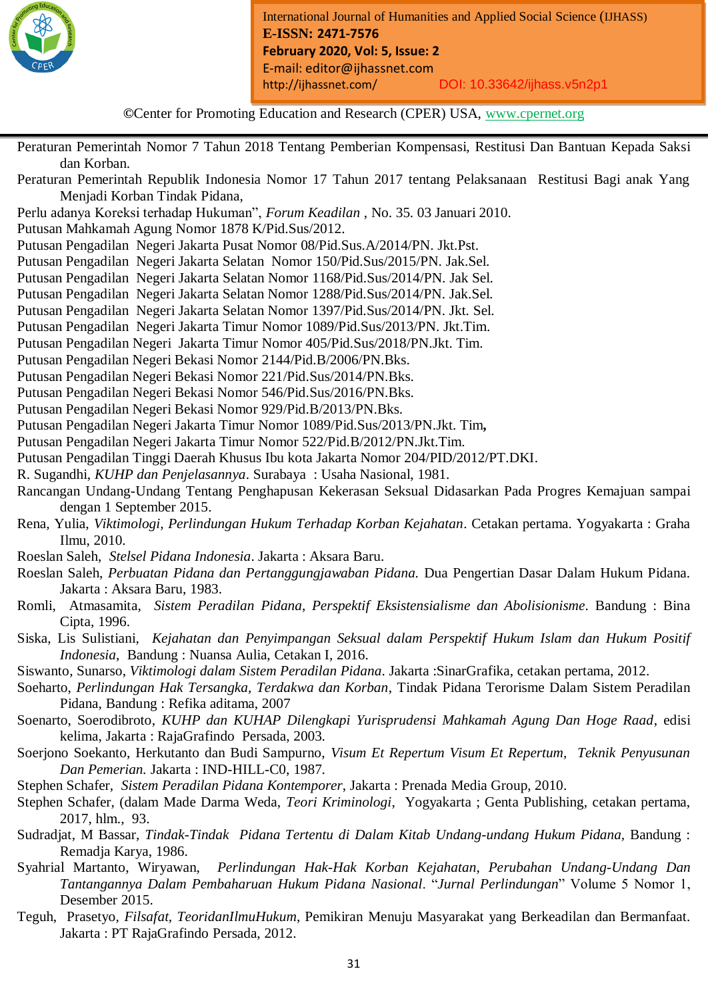

*Month Year: January2019*

Peraturan Pemerintah Nomor 7 Tahun 2018 Tentang Pemberian Kompensasi, Restitusi Dan Bantuan Kepada Saksi dan Korban.

- Peraturan Pemerintah Republik Indonesia Nomor 17 Tahun 2017 tentang Pelaksanaan Restitusi Bagi anak Yang Menjadi Korban Tindak Pidana,
- Perlu adanya Koreksi terhadap Hukuman", *Forum Keadilan* , No. 35. 03 Januari 2010.
- Putusan Mahkamah Agung Nomor 1878 K/Pid.Sus/2012.
- Putusan Pengadilan Negeri Jakarta Pusat Nomor 08/Pid.Sus.A/2014/PN. Jkt.Pst.
- Putusan Pengadilan Negeri Jakarta Selatan Nomor 150/Pid.Sus/2015/PN. Jak.Sel.
- Putusan Pengadilan Negeri Jakarta Selatan Nomor 1168/Pid.Sus/2014/PN. Jak Sel.
- Putusan Pengadilan Negeri Jakarta Selatan Nomor 1288/Pid.Sus/2014/PN. Jak.Sel.
- Putusan Pengadilan Negeri Jakarta Selatan Nomor 1397/Pid.Sus/2014/PN. Jkt. Sel.
- Putusan Pengadilan Negeri Jakarta Timur Nomor 1089/Pid.Sus/2013/PN. Jkt.Tim.
- Putusan Pengadilan Negeri Jakarta Timur Nomor 405/Pid.Sus/2018/PN.Jkt. Tim.
- Putusan Pengadilan Negeri Bekasi Nomor 2144/Pid.B/2006/PN.Bks.
- Putusan Pengadilan Negeri Bekasi Nomor 221/Pid.Sus/2014/PN.Bks.
- Putusan Pengadilan Negeri Bekasi Nomor 546/Pid.Sus/2016/PN.Bks.
- Putusan Pengadilan Negeri Bekasi Nomor 929/Pid.B/2013/PN.Bks.
- Putusan Pengadilan Negeri Jakarta Timur Nomor 1089/Pid.Sus/2013/PN.Jkt. Tim*,*
- Putusan Pengadilan Negeri Jakarta Timur Nomor 522/Pid.B/2012/PN.Jkt.Tim.
- Putusan Pengadilan Tinggi Daerah Khusus Ibu kota Jakarta Nomor 204/PID/2012/PT.DKI.
- R. Sugandhi, *KUHP dan Penjelasannya*. Surabaya : Usaha Nasional, 1981.
- Rancangan Undang-Undang Tentang Penghapusan Kekerasan Seksual Didasarkan Pada Progres Kemajuan sampai dengan 1 September 2015.
- Rena*,* Yulia, *Viktimologi, Perlindungan Hukum Terhadap Korban Kejahatan*. Cetakan pertama. Yogyakarta : Graha Ilmu, 2010.
- Roeslan Saleh, *Stelsel Pidana Indonesia*. Jakarta : Aksara Baru.
- Roeslan Saleh, *Perbuatan Pidana dan Pertanggungjawaban Pidana.* Dua Pengertian Dasar Dalam Hukum Pidana. Jakarta : Aksara Baru, 1983.
- Romli, Atmasamita, *Sistem Peradilan Pidana*, *Perspektif Eksistensialisme dan Abolisionisme*. Bandung : Bina Cipta, 1996.
- Siska, Lis Sulistiani, *Kejahatan dan Penyimpangan Seksual dalam Perspektif Hukum Islam dan Hukum Positif Indonesia*, Bandung : Nuansa Aulia, Cetakan I, 2016.
- Siswanto, Sunarso, *Viktimologi dalam Sistem Peradilan Pidana*. Jakarta :SinarGrafika, cetakan pertama, 2012.
- Soeharto, *Perlindungan Hak Tersangka, Terdakwa dan Korban*, Tindak Pidana Terorisme Dalam Sistem Peradilan Pidana, Bandung : Refika aditama, 2007
- Soenarto, Soerodibroto, *KUHP dan KUHAP Dilengkapi Yurisprudensi Mahkamah Agung Dan Hoge Raad*, edisi kelima, Jakarta : RajaGrafindo Persada, 2003.
- Soerjono Soekanto, Herkutanto dan Budi Sampurno, *Visum Et Repertum Visum Et Repertum, Teknik Penyusunan Dan Pemerian.* Jakarta : IND-HILL-C0, 1987.
- Stephen Schafer, *Sistem Peradilan Pidana Kontemporer*, Jakarta : Prenada Media Group, 2010.
- Stephen Schafer, (dalam Made Darma Weda, *Teori Kriminologi*, Yogyakarta ; Genta Publishing, cetakan pertama, 2017, hlm., 93.
- Sudradjat, M Bassar, *Tindak-Tindak Pidana Tertentu di Dalam Kitab Undang-undang Hukum Pidana,* Bandung : Remadja Karya, 1986.
- Syahrial Martanto, Wiryawan, *Perlindungan Hak-Hak Korban Kejahatan, Perubahan Undang-Undang Dan Tantangannya Dalam Pembaharuan Hukum Pidana Nasional*. "*Jurnal Perlindungan*" Volume 5 Nomor 1, Desember 2015.
- Teguh, Prasetyo, *Filsafat, TeoridanIlmuHukum*, Pemikiran Menuju Masyarakat yang Berkeadilan dan Bermanfaat. Jakarta : PT RajaGrafindo Persada, 2012.